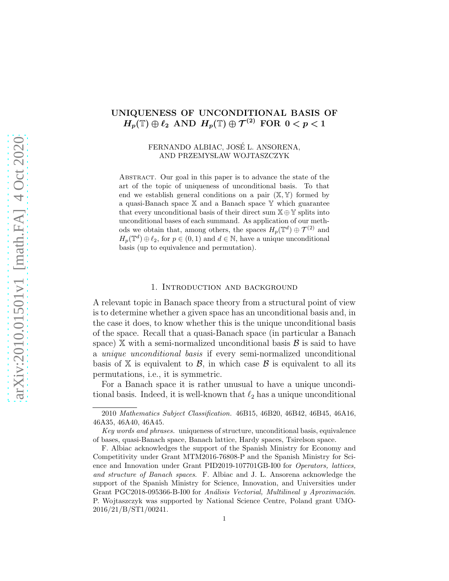# UNIQUENESS OF UNCONDITIONAL BASIS OF  $H_p(\mathbb{T}) \oplus \ell_2$  AND  $H_p(\mathbb{T}) \oplus \mathcal{T}^{(2)}$  FOR  $0 < p < 1$

### FERNANDO ALBIAC, JOSE L. ANSORENA, ´ AND PRZEMYSŁAW WOJTASZCZYK

ABSTRACT. Our goal in this paper is to advance the state of the art of the topic of uniqueness of unconditional basis. To that end we establish general conditions on a pair  $(\mathbb{X}, \mathbb{Y})$  formed by a quasi-Banach space X and a Banach space Y which guarantee that every unconditional basis of their direct sum  $X \oplus Y$  splits into unconditional bases of each summand. As application of our methods we obtain that, among others, the spaces  $H_p(\mathbb{T}^d) \oplus \mathcal{T}^{(2)}$  and  $H_p(\mathbb{T}^d) \oplus \ell_2$ , for  $p \in (0,1)$  and  $d \in \mathbb{N}$ , have a unique unconditional basis (up to equivalence and permutation).

### 1. Introduction and background

A relevant topic in Banach space theory from a structural point of view is to determine whether a given space has an unconditional basis and, in the case it does, to know whether this is the unique unconditional basis of the space. Recall that a quasi-Banach space (in particular a Banach space)  $X$  with a semi-normalized unconditional basis  $B$  is said to have a *unique unconditional basis* if every semi-normalized unconditional basis of X is equivalent to  $\mathcal{B}$ , in which case  $\mathcal{B}$  is equivalent to all its permutations, i.e., it is symmetric.

For a Banach space it is rather unusual to have a unique unconditional basis. Indeed, it is well-known that  $\ell_2$  has a unique unconditional

<sup>2010</sup> Mathematics Subject Classification. 46B15, 46B20, 46B42, 46B45, 46A16, 46A35, 46A40, 46A45.

Key words and phrases. uniqueness of structure, unconditional basis, equivalence of bases, quasi-Banach space, Banach lattice, Hardy spaces, Tsirelson space.

F. Albiac acknowledges the support of the Spanish Ministry for Economy and Competitivity under Grant MTM2016-76808-P and the Spanish Ministry for Science and Innovation under Grant PID2019-107701GB-I00 for Operators, lattices, and structure of Banach spaces. F. Albiac and J. L. Ansorena acknowledge the support of the Spanish Ministry for Science, Innovation, and Universities under Grant PGC2018-095366-B-I00 for Análisis Vectorial, Multilineal y Aproximación. P. Wojtaszczyk was supported by National Science Centre, Poland grant UMO-2016/21/B/ST1/00241.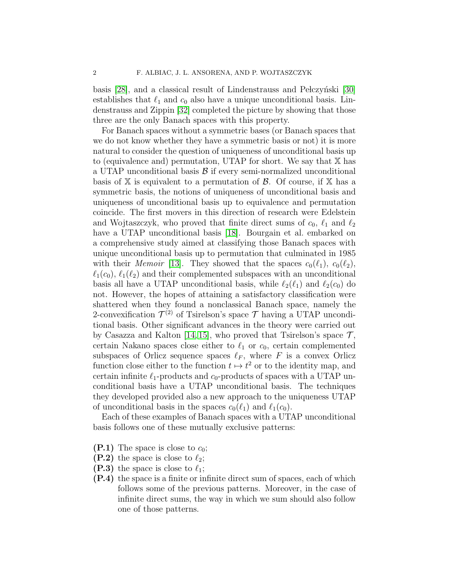basis  $[28]$ , and a classical result of Lindenstrauss and Pełczyński  $[30]$ establishes that  $\ell_1$  and  $c_0$  also have a unique unconditional basis. Lindenstrauss and Zippin [\[32\]](#page-23-2) completed the picture by showing that those three are the only Banach spaces with this property.

For Banach spaces without a symmetric bases (or Banach spaces that we do not know whether they have a symmetric basis or not) it is more natural to consider the question of uniqueness of unconditional basis up to (equivalence and) permutation, UTAP for short. We say that X has a UTAP unconditional basis  $\beta$  if every semi-normalized unconditional basis of  $X$  is equivalent to a permutation of  $\mathcal{B}$ . Of course, if  $X$  has a symmetric basis, the notions of uniqueness of unconditional basis and uniqueness of unconditional basis up to equivalence and permutation coincide. The first movers in this direction of research were Edelstein and Wojtaszczyk, who proved that finite direct sums of  $c_0$ ,  $\ell_1$  and  $\ell_2$ have a UTAP unconditional basis [\[18\]](#page-22-0). Bourgain et al. embarked on a comprehensive study aimed at classifying those Banach spaces with unique unconditional basis up to permutation that culminated in 1985 with their *Memoir* [\[13\]](#page-22-1). They showed that the spaces  $c_0(\ell_1)$ ,  $c_0(\ell_2)$ ,  $\ell_1(c_0)$ ,  $\ell_1(\ell_2)$  and their complemented subspaces with an unconditional basis all have a UTAP unconditional basis, while  $\ell_2(\ell_1)$  and  $\ell_2(c_0)$  do not. However, the hopes of attaining a satisfactory classification were shattered when they found a nonclassical Banach space, namely the 2-convexification  $\mathcal{T}^{(2)}$  of Tsirelson's space  $\mathcal T$  having a UTAP unconditional basis. Other significant advances in the theory were carried out by Casazza and Kalton [\[14,](#page-22-2) [15\]](#page-22-3), who proved that Tsirelson's space  $\mathcal{T}$ , certain Nakano spaces close either to  $\ell_1$  or  $c_0$ , certain complemented subspaces of Orlicz sequence spaces  $\ell_F$ , where F is a convex Orlicz function close either to the function  $t \mapsto t^2$  or to the identity map, and certain infinite  $\ell_1$ -products and  $c_0$ -products of spaces with a UTAP unconditional basis have a UTAP unconditional basis. The techniques they developed provided also a new approach to the uniqueness UTAP of unconditional basis in the spaces  $c_0(\ell_1)$  and  $\ell_1(c_0)$ .

Each of these examples of Banach spaces with a UTAP unconditional basis follows one of these mutually exclusive patterns:

- <span id="page-1-3"></span><span id="page-1-2"></span> $(P.1)$  The space is close to  $c_0$ ;
- <span id="page-1-0"></span>(P.2) the space is close to  $\ell_2$ ;
- <span id="page-1-1"></span>(**P.3**) the space is close to  $\ell_1$ ;
- (P.4) the space is a finite or infinite direct sum of spaces, each of which follows some of the previous patterns. Moreover, in the case of infinite direct sums, the way in which we sum should also follow one of those patterns.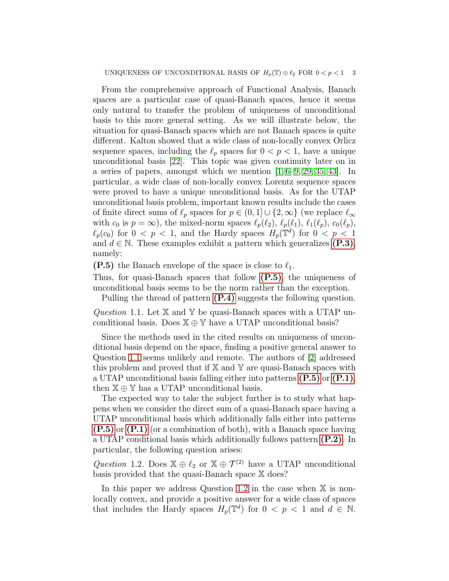From the comprehensive approach of Functional Analysis, Banach spaces are a particular case of quasi-Banach spaces, hence it seems only natural to transfer the problem of uniqueness of unconditional basis to this more general setting. As we will illustrate below, the situation for quasi-Banach spaces which are not Banach spaces is quite different. Kalton showed that a wide class of non-locally convex Orlicz sequence spaces, including the  $\ell_p$  spaces for  $0 < p < 1$ , have a unique unconditional basis [\[22\]](#page-23-3). This topic was given continuity later on in a series of papers, amongst which we mention  $[1, 6-9, 29, 35, 43]$  $[1, 6-9, 29, 35, 43]$  $[1, 6-9, 29, 35, 43]$  $[1, 6-9, 29, 35, 43]$  $[1, 6-9, 29, 35, 43]$ . In particular, a wide class of non-locally convex Lorentz sequence spaces were proved to have a unique unconditional basis. As for the UTAP unconditional basis problem, important known results include the cases of finite direct sums of  $\ell_p$  spaces for  $p \in (0,1] \cup \{2,\infty\}$  (we replace  $\ell_\infty$ with  $c_0$  is  $p = \infty$ ), the mixed-norm spaces  $\ell_p(\ell_2)$ ,  $\ell_p(\ell_1)$ ,  $\ell_1(\ell_p)$ ,  $c_0(\ell_p)$ ,  $\ell_p(c_0)$  for  $0 \leq p \leq 1$ , and the Hardy spaces  $H_p(\mathbb{T}^d)$  for  $0 \leq p \leq 1$ and  $d \in \mathbb{N}$ . These examples exhibit a pattern which generalizes [\(P.3\)](#page-1-0), namely:

<span id="page-2-0"></span>(P.5) the Banach envelope of the space is close to  $\ell_1$ .

Thus, for quasi-Banach spaces that follow [\(P.5\)](#page-2-0), the uniqueness of unconditional basis seems to be the norm rather than the exception.

Pulling the thread of pattern  $(P.4)$  suggests the following question.

<span id="page-2-1"></span>*Question* 1.1*.* Let X and Y be quasi-Banach spaces with a UTAP unconditional basis. Does  $X \oplus Y$  have a UTAP unconditional basis?

Since the methods used in the cited results on uniqueness of unconditional basis depend on the space, finding a positive general answer to Question [1.1](#page-2-1) seems unlikely and remote. The authors of [\[2\]](#page-22-7) addressed this problem and proved that if  $X$  and  $Y$  are quasi-Banach spaces with a UTAP unconditional basis falling either into patterns  $(P.5)$  or  $(P.1)$ , then  $\mathbb{X} \oplus \mathbb{Y}$  has a UTAP unconditional basis.

The expected way to take the subject further is to study what happens when we consider the direct sum of a quasi-Banach space having a UTAP unconditional basis which additionally falls either into patterns [\(P.5\)](#page-2-0) or [\(P.1\)](#page-1-2) (or a combination of both), with a Banach space having a UTAP conditional basis which additionally follows pattern [\(P.2\)](#page-1-3). In particular, the following question arises:

<span id="page-2-2"></span>*Question* 1.2. Does  $\mathbb{X} \oplus \ell_2$  or  $\mathbb{X} \oplus \mathcal{T}^{(2)}$  have a UTAP unconditional basis provided that the quasi-Banach space X does?

In this paper we address Question [1.2](#page-2-2) in the case when  $X$  is nonlocally convex, and provide a positive answer for a wide class of spaces that includes the Hardy spaces  $H_p(\mathbb{T}^d)$  for  $0 < p < 1$  and  $d \in \mathbb{N}$ .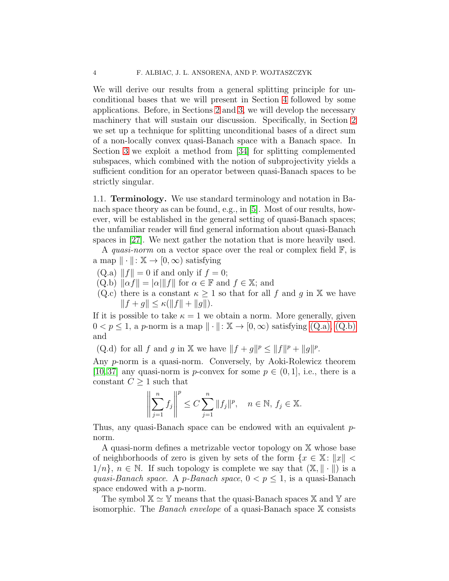We will derive our results from a general splitting principle for unconditional bases that we will present in Section [4](#page-17-0) followed by some applications. Before, in Sections [2](#page-7-0) and [3,](#page-12-0) we will develop the necessary machinery that will sustain our discussion. Specifically, in Section [2](#page-7-0) we set up a technique for splitting unconditional bases of a direct sum of a non-locally convex quasi-Banach space with a Banach space. In Section [3](#page-12-0) we exploit a method from [\[34\]](#page-23-6) for splitting complemented subspaces, which combined with the notion of subprojectivity yields a sufficient condition for an operator between quasi-Banach spaces to be strictly singular.

1.1. Terminology. We use standard terminology and notation in Banach space theory as can be found, e.g., in [\[5\]](#page-22-8). Most of our results, however, will be established in the general setting of quasi-Banach spaces; the unfamiliar reader will find general information about quasi-Banach spaces in [\[27\]](#page-23-7). We next gather the notation that is more heavily used.

A *quasi-norm* on a vector space over the real or complex field F, is a map  $\|\cdot\|: \mathbb{X} \to [0, \infty)$  satisfying

- <span id="page-3-1"></span><span id="page-3-0"></span> $(Q.a)$   $||f|| = 0$  if and only if  $f = 0$ ;
- $(Q.b)$   $\|\alpha f\| = |\alpha| \|f\|$  for  $\alpha \in \mathbb{F}$  and  $f \in \mathbb{X}$ ; and
- (Q.c) there is a constant  $\kappa \geq 1$  so that for all f and g in X we have  $||f + g|| \leq \kappa(||f|| + ||g||).$

If it is possible to take  $\kappa = 1$  we obtain a norm. More generally, given  $0 < p \leq 1$ , a p-norm is a map  $\|\cdot\|: \mathbb{X} \to [0, \infty)$  satisfying  $(Q.a)$ ,  $(Q.b)$ and

(Q.d) for all f and g in X we have  $||f + g||^p \le ||f||^p + ||g||^p$ .

Any p-norm is a quasi-norm. Conversely, by Aoki-Rolewicz theorem [\[10,](#page-22-9) [37\]](#page-23-8) any quasi-norm is p-convex for some  $p \in (0, 1]$ , i.e., there is a constant  $C \geq 1$  such that

$$
\left\| \sum_{j=1}^n f_j \right\|^p \le C \sum_{j=1}^n \|f_j\|^p, \quad n \in \mathbb{N}, f_j \in \mathbb{X}.
$$

Thus, any quasi-Banach space can be endowed with an equivalent pnorm.

A quasi-norm defines a metrizable vector topology on X whose base of neighborhoods of zero is given by sets of the form  $\{x \in \mathbb{X}: ||x|| \leq \}$  $1/n$ ,  $n \in \mathbb{N}$ . If such topology is complete we say that  $(\mathbb{X}, \|\cdot\|)$  is a *quasi-Banach space.* A *p-Banach space*,  $0 < p \leq 1$ , is a quasi-Banach space endowed with a p-norm.

The symbol  $\mathbb{X} \simeq \mathbb{Y}$  means that the quasi-Banach spaces  $\mathbb{X}$  and  $\mathbb{Y}$  are isomorphic. The *Banach envelope* of a quasi-Banach space X consists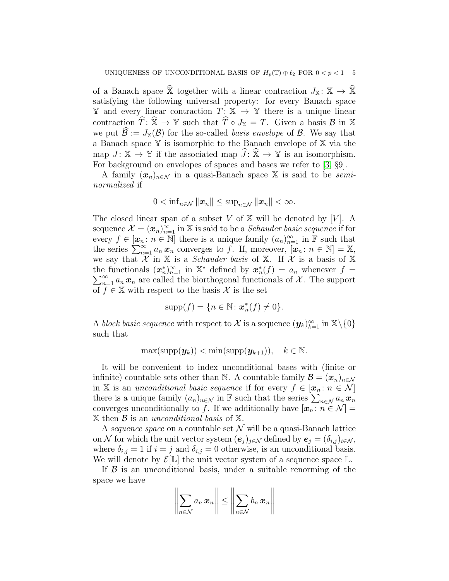of a Banach space  $\widehat{\mathbb{X}}$  together with a linear contraction  $J_{\mathbb{X}} : \mathbb{X} \to \widehat{\mathbb{X}}$ satisfying the following universal property: for every Banach space Y and every linear contraction  $T: X \to Y$  there is a unique linear contraction  $\widehat{T}: \widehat{\mathbb{X}} \to \mathbb{Y}$  such that  $\widehat{T} \circ J_{\mathbb{X}} = T$ . Given a basis  $\mathcal{B}$  in X we put  $\mathcal{B} := J_{\mathbb{X}}(\mathcal{B})$  for the so-called *basis envelope* of  $\mathcal{B}$ . We say that a Banach space Y is isomorphic to the Banach envelope of X via the map  $J: \mathbb{X} \to \mathbb{Y}$  if the associated map  $\overline{J}: \mathbb{X} \to \mathbb{Y}$  is an isomorphism. For background on envelopes of spaces and bases we refer to [\[3,](#page-22-10) §9].

A family  $(x_n)_{n \in \mathcal{N}}$  in a quasi-Banach space X is said to be *seminormalized* if

$$
0<\inf\nolimits_{n\in\mathcal{N}}\|\boldsymbol{x}_n\|\leq \sup\nolimits_{n\in\mathcal{N}}\|\boldsymbol{x}_n\|<\infty.
$$

The closed linear span of a subset V of  $X$  will be denoted by [V]. A sequence  $\mathcal{X} = (\boldsymbol{x}_n)_{n=1}^{\infty}$  in X is said to be a *Schauder basic sequence* if for every  $f \in [\mathbf{x}_n : n \in \mathbb{N}]$  there is a unique family  $(a_n)_{n=1}^{\infty}$  in  $\mathbb{F}$  such that the series  $\sum_{n=1}^{\infty} a_n x_n$  converges to f. If, moreover,  $[x_n : n \in \mathbb{N}] = \mathbb{X}$ , we say that  $\mathcal X$  in  $\mathbb X$  is a *Schauder basis* of  $\mathbb X$ . If  $\mathcal X$  is a basis of  $\mathbb X$ the functionals  $(\mathbf{x}_n^*)_{n=1}^{\infty}$  in  $\mathbb{X}^*$  defined by  $\mathbf{x}_n^*(f) = a_n$  whenever  $f =$  $\sum_{n=1}^{\infty} a_n x_n$  are called the biorthogonal functionals of X. The support of  $f \in \mathbb{X}$  with respect to the basis X is the set

$$
\operatorname{supp}(f) = \{ n \in \mathbb{N} \colon \mathbf{x}_n^*(f) \neq 0 \}.
$$

A *block basic sequence* with respect to X is a sequence  $(y_k)_{k=1}^{\infty}$  in  $\mathbb{X}\backslash\{0\}$ such that

$$
\max(\mathrm{supp}(\boldsymbol{y}_k)) < \min(\mathrm{supp}(\boldsymbol{y}_{k+1})), \quad k \in \mathbb{N}.
$$

It will be convenient to index unconditional bases with (finite or infinite) countable sets other than N. A countable family  $\mathcal{B} = (\mathbf{x}_n)_{n \in \mathcal{N}}$ in X is an *unconditional basic sequence* if for every  $f \in [\mathbf{x}_n : n \in \mathcal{N}]$ there is a unique family  $(a_n)_{n \in \mathcal{N}}$  in F such that the series  $\sum_{n \in \mathcal{N}} a_n \mathbf{x}_n$ converges unconditionally to f. If we additionally have  $[\mathbf{x}_n : n \in \mathcal{N}] =$ X then B is an *unconditional basis* of X.

A *sequence space* on a countable set  $N$  will be a quasi-Banach lattice on N for which the unit vector system  $(e_i)_{i\in\mathcal{N}}$  defined by  $e_i = (\delta_{i,j})_{i\in\mathcal{N}}$ , where  $\delta_{i,j} = 1$  if  $i = j$  and  $\delta_{i,j} = 0$  otherwise, is an unconditional basis. We will denote by  $\mathcal{E}[\mathbb{L}]$  the unit vector system of a sequence space  $\mathbb{L}$ .

If  $\beta$  is an unconditional basis, under a suitable renorming of the space we have

$$
\left\|\sum_{n\in\mathcal{N}}a_n\,x_n\right\|\leq\left\|\sum_{n\in\mathcal{N}}b_n\,x_n\right\|
$$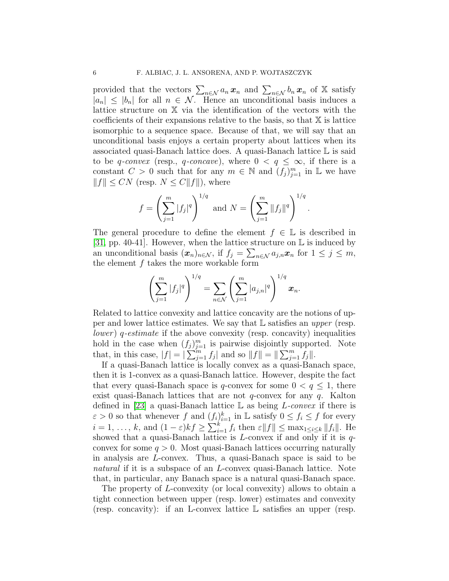provided that the vectors  $\sum_{n\in\mathcal{N}} a_n x_n$  and  $\sum_{n\in\mathcal{N}} b_n x_n$  of X satisfy  $|a_n| \leq |b_n|$  for all  $n \in \mathcal{N}$ . Hence an unconditional basis induces a lattice structure on X via the identification of the vectors with the coefficients of their expansions relative to the basis, so that X is lattice isomorphic to a sequence space. Because of that, we will say that an unconditional basis enjoys a certain property about lattices when its associated quasi-Banach lattice does. A quasi-Banach lattice L is said to be q-convex (resp., q-concave), where  $0 < q \leq \infty$ , if there is a constant  $C > 0$  such that for any  $m \in \mathbb{N}$  and  $(f_j)_{j=1}^m$  in  $\mathbb{L}$  we have  $||f|| \leq CN$  (resp.  $N \leq C||f||$ ), where

$$
f = \left(\sum_{j=1}^m |f_j|^q\right)^{1/q}
$$
 and  $N = \left(\sum_{j=1}^m ||f_j||^q\right)^{1/q}$ .

The general procedure to define the element  $f \in \mathbb{L}$  is described in [\[31,](#page-23-9) pp. 40-41]. However, when the lattice structure on  $\mathbb L$  is induced by an unconditional basis  $(\mathbf{x}_n)_{n \in \mathcal{N}}$ , if  $f_j = \sum_{n \in \mathcal{N}} a_{j,n} \mathbf{x}_n$  for  $1 \leq j \leq m$ , the element f takes the more workable form

$$
\left(\sum_{j=1}^m |f_j|^q\right)^{1/q} = \sum_{n \in \mathcal{N}} \left(\sum_{j=1}^m |a_{j,n}|^q\right)^{1/q} x_n.
$$

Related to lattice convexity and lattice concavity are the notions of upper and lower lattice estimates. We say that L satisfies an *upper* (resp. *lower* ) q*-estimate* if the above convexity (resp. concavity) inequalities hold in the case when  $(f_j)_{j=1}^m$  is pairwise disjointly supported. Note that, in this case,  $|f| = |\sum_{j=1}^{m} f_j|$  and so  $||f|| = ||\sum_{j=1}^{m} f_j||$ .

If a quasi-Banach lattice is locally convex as a quasi-Banach space, then it is 1-convex as a quasi-Banach lattice. However, despite the fact that every quasi-Banach space is q-convex for some  $0 < q \leq 1$ , there exist quasi-Banach lattices that are not  $q$ -convex for any  $q$ . Kalton defined in [\[23\]](#page-23-10) a quasi-Banach lattice L as being L*-convex* if there is  $\varepsilon > 0$  so that whenever f and  $(f_i)_{i=1}^k$  in L satisfy  $0 \le f_i \le f$  for every  $i = 1, \ldots, k$ , and  $(1 - \varepsilon)kf \geq \sum_{i=1}^{k} f_i$  then  $\varepsilon ||f|| \leq \max_{1 \leq i \leq k} ||f_i||$ . He showed that a quasi-Banach lattice is  $L$ -convex if and only if it is  $q$ convex for some  $q > 0$ . Most quasi-Banach lattices occurring naturally in analysis are L-convex. Thus, a quasi-Banach space is said to be *natural* if it is a subspace of an *L*-convex quasi-Banach lattice. Note that, in particular, any Banach space is a natural quasi-Banach space.

The property of L-convexity (or local convexity) allows to obtain a tight connection between upper (resp. lower) estimates and convexity (resp. concavity): if an L-convex lattice L satisfies an upper (resp.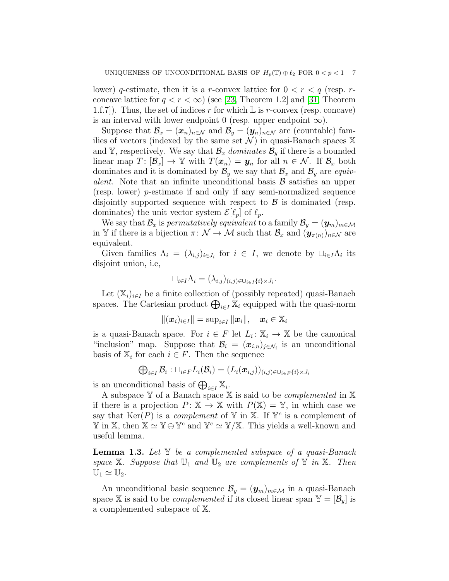lower) q-estimate, then it is a r-convex lattice for  $0 < r < q$  (resp. rconcave lattice for  $q < r < \infty$ ) (see [\[23,](#page-23-10) Theorem 1.2] and [\[31,](#page-23-9) Theorem 1.f.7). Thus, the set of indices r for which  $\mathbb L$  is r-convex (resp. concave) is an interval with lower endpoint 0 (resp. upper endpoint  $\infty$ ).

Suppose that  $\mathcal{B}_x = (\mathbf{x}_n)_{n \in \mathcal{N}}$  and  $\mathcal{B}_y = (\mathbf{y}_n)_{n \in \mathcal{N}}$  are (countable) families of vectors (indexed by the same set  $\mathcal{N}$ ) in quasi-Banach spaces X and Y, respectively. We say that  $\mathcal{B}_x$  *dominates*  $\mathcal{B}_y$  if there is a bounded linear map  $T: [\mathcal{B}_x] \to \mathbb{Y}$  with  $T(\boldsymbol{x}_n) = \boldsymbol{y}_n$  for all  $n \in \mathcal{N}$ . If  $\mathcal{B}_x$  both dominates and it is dominated by  $\mathcal{B}_y$  we say that  $\mathcal{B}_x$  and  $\mathcal{B}_y$  are *equivalent*. Note that an infinite unconditional basis  $\beta$  satisfies an upper (resp. lower) p-estimate if and only if any semi-normalized sequence disjointly supported sequence with respect to  $\beta$  is dominated (resp. dominates) the unit vector system  $\mathcal{E}[\ell_p]$  of  $\ell_p$ .

We say that  $\mathcal{B}_x$  is *permutatively equivalent* to a family  $\mathcal{B}_y = (\mathbf{y}_m)_{m \in \mathcal{M}}$ in Y if there is a bijection  $\pi: \mathcal{N} \to \mathcal{M}$  such that  $\mathcal{B}_x$  and  $(\mathbf{y}_{\pi(n)})_{n \in \mathcal{N}}$  are equivalent.

Given families  $\Lambda_i = (\lambda_{i,j})_{i \in J_i}$  for  $i \in I$ , we denote by  $\sqcup_{i \in I} \Lambda_i$  its disjoint union, i.e,

$$
\sqcup_{i\in I}\Lambda_i=(\lambda_{i,j})_{(i,j)\in\bigcup_{i\in I}\{i\}\times J_i}.
$$

Let  $(X_i)_{i\in I}$  be a finite collection of (possibly repeated) quasi-Banach spaces. The Cartesian product  $\bigoplus_{i\in I} \mathbb{X}_i$  equipped with the quasi-norm

$$
\|(\boldsymbol{x}_i)_{i\in I}\|=\sup\nolimits_{i\in I}\|\boldsymbol{x}_i\|,\quad \boldsymbol{x}_i\in\mathbb{X}_i
$$

is a quasi-Banach space. For  $i \in F$  let  $L_i: \mathbb{X}_i \to \mathbb{X}$  be the canonical "inclusion" map. Suppose that  $\mathcal{B}_i = (\mathbf{x}_{i,n})_{j \in \mathcal{N}_i}$  is an unconditional basis of  $\mathbb{X}_i$  for each  $i \in F$ . Then the sequence

$$
\bigoplus_{i\in I}\mathcal{B}_i: \sqcup_{i\in F} L_i(\mathcal{B}_i)=(L_i(\boldsymbol{x}_{i,j}))_{(i,j)\in \cup_{i\in F}\{i\}\times J_i}
$$

is an unconditional basis of  $\bigoplus_{i\in I} \mathbb{X}_i$ .

A subspace Y of a Banach space X is said to be *complemented* in X if there is a projection  $P: \mathbb{X} \to \mathbb{X}$  with  $P(\mathbb{X}) = \mathbb{Y}$ , in which case we say that  $\text{Ker}(P)$  is a *complement* of Y in X. If  $Y^c$  is a complement of  $\mathbb{Y}$  in X, then  $\mathbb{X} \simeq \mathbb{Y} \oplus \mathbb{Y}^c$  and  $\mathbb{Y}^c \simeq \mathbb{Y}/\mathbb{X}$ . This yields a well-known and useful lemma.

<span id="page-6-0"></span>Lemma 1.3. *Let* Y *be a complemented subspace of a quasi-Banach space*  $X$ *. Suppose that*  $U_1$  *and*  $U_2$  *are complements of*  $Y$  *in*  $X$ *. Then*  $\mathbb{U}_1 \simeq \mathbb{U}_2.$ 

An unconditional basic sequence  $\mathcal{B}_y = (\mathbf{y}_m)_{m \in \mathcal{M}}$  in a quasi-Banach space X is said to be *complemented* if its closed linear span  $Y = [\mathcal{B}_y]$  is a complemented subspace of X.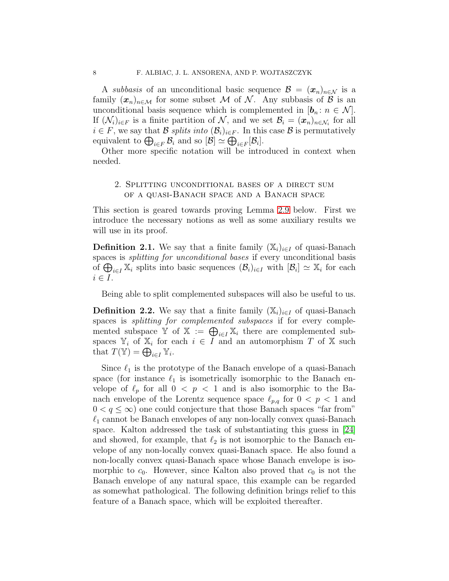A *subbasis* of an unconditional basic sequence  $\mathcal{B} = (\mathbf{x}_n)_{n \in \mathcal{N}}$  is a family  $(x_n)_{n\in\mathcal{M}}$  for some subset M of N. Any subbasis of B is an unconditional basis sequence which is complemented in  $[\mathbf{b}_n : n \in \mathcal{N}]$ . If  $(\mathcal{N}_i)_{i \in F}$  is a finite partition of  $\mathcal{N}$ , and we set  $\mathcal{B}_i = (\boldsymbol{x}_n)_{n \in \mathcal{N}_i}$  for all  $i \in F$ , we say that B *splits into*  $(\mathcal{B}_i)_{i \in F}$ . In this case B is permutatively equivalent to  $\bigoplus_{i\in F} \mathcal{B}_i$  and so  $[\mathcal{B}] \simeq \bigoplus_{i\in F} [\mathcal{B}_i]$ .

<span id="page-7-0"></span>Other more specific notation will be introduced in context when needed.

## 2. Splitting unconditional bases of a direct sum of a quasi-Banach space and a Banach space

This section is geared towards proving Lemma [2.9](#page-10-0) below. First we introduce the necessary notions as well as some auxiliary results we will use in its proof.

**Definition 2.1.** We say that a finite family  $(X_i)_{i\in I}$  of quasi-Banach spaces is *splitting for unconditional bases* if every unconditional basis of  $\bigoplus_{i\in I} \mathbb{X}_i$  splits into basic sequences  $(\mathcal{B}_i)_{i\in I}$  with  $[\mathcal{B}_i] \simeq \mathbb{X}_i$  for each  $i \in I$ .

Being able to split complemented subspaces will also be useful to us.

**Definition 2.2.** We say that a finite family  $(X_i)_{i\in I}$  of quasi-Banach spaces is *splitting for complemented subspaces* if for every complemented subspace  $\mathbb{Y}$  of  $\mathbb{X} := \bigoplus_{i \in I} \mathbb{X}_i$  there are complemented subspaces  $\mathbb{Y}_i$  of  $\mathbb{X}_i$  for each  $i \in I$  and an automorphism T of X such that  $T(\mathbb{Y}) = \bigoplus_{i \in I} \mathbb{Y}_i$ .

Since  $\ell_1$  is the prototype of the Banach envelope of a quasi-Banach space (for instance  $\ell_1$  is isometrically isomorphic to the Banach envelope of  $\ell_p$  for all  $0 < p < 1$  and is also isomorphic to the Banach envelope of the Lorentz sequence space  $\ell_{p,q}$  for  $0 < p < 1$  and  $0 < q \leq \infty$ ) one could conjecture that those Banach spaces "far from"  $\ell_1$  cannot be Banach envelopes of any non-locally convex quasi-Banach space. Kalton addressed the task of substantiating this guess in [\[24\]](#page-23-11) and showed, for example, that  $\ell_2$  is not isomorphic to the Banach envelope of any non-locally convex quasi-Banach space. He also found a non-locally convex quasi-Banach space whose Banach envelope is isomorphic to  $c_0$ . However, since Kalton also proved that  $c_0$  is not the Banach envelope of any natural space, this example can be regarded as somewhat pathological. The following definition brings relief to this feature of a Banach space, which will be exploited thereafter.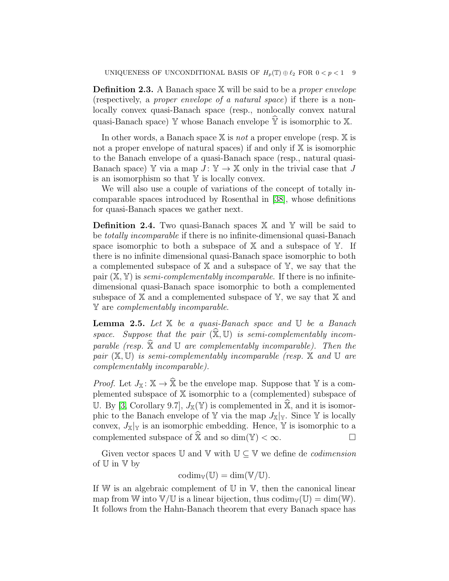Definition 2.3. A Banach space X will be said to be a *proper envelope* (respectively, a *proper envelope of a natural space*) if there is a nonlocally convex quasi-Banach space (resp., nonlocally convex natural quasi-Banach space)  $\mathbb Y$  whose Banach envelope  $\hat{\mathbb Y}$  is isomorphic to X.

In other words, a Banach space X is *not* a proper envelope (resp. X is not a proper envelope of natural spaces) if and only if  $X$  is isomorphic to the Banach envelope of a quasi-Banach space (resp., natural quasi-Banach space) Y via a map  $J: Y \to X$  only in the trivial case that J is an isomorphism so that  $Y$  is locally convex.

We will also use a couple of variations of the concept of totally incomparable spaces introduced by Rosenthal in [\[38\]](#page-23-12), whose definitions for quasi-Banach spaces we gather next.

**Definition 2.4.** Two quasi-Banach spaces  $X$  and  $Y$  will be said to be *totally incomparable* if there is no infinite-dimensional quasi-Banach space isomorphic to both a subspace of  $X$  and a subspace of  $Y$ . If there is no infinite dimensional quasi-Banach space isomorphic to both a complemented subspace of  $X$  and a subspace of  $Y$ , we say that the pair (X, Y) is *semi-complementably incomparable*. If there is no infinitedimensional quasi-Banach space isomorphic to both a complemented subspace of  $X$  and a complemented subspace of  $Y$ , we say that  $X$  and Y are *complementably incomparable*.

<span id="page-8-0"></span>Lemma 2.5. *Let* X *be a quasi-Banach space and* U *be a Banach* space. Suppose that the pair  $(\mathbb{X}, \mathbb{U})$  is semi-complementably incom*parable (resp.*  $\hat{\mathbb{X}}$  *and*  $\mathbb{U}$  *are complementably incomparable). Then the pair* (X, U) *is semi-complementably incomparable (resp.* X *and* U *are complementably incomparable).*

*Proof.* Let  $J_{\mathbb{X}}: \mathbb{X} \to \widehat{\mathbb{X}}$  be the envelope map. Suppose that Y is a complemented subspace of X isomorphic to a (complemented) subspace of U. By [\[3,](#page-22-10) Corollary 9.7],  $J_{\mathbb{X}}(\mathbb{Y})$  is complemented in  $\widehat{\mathbb{X}}$ , and it is isomorphic to the Banach envelope of Y via the map  $J_{\mathbb{X}}|_{\mathbb{Y}}$ . Since Y is locally convex,  $J_{\mathbb{X}}|_{\mathbb{Y}}$  is an isomorphic embedding. Hence,  $\mathbb Y$  is isomorphic to a complemented subspace of  $\widehat{\mathbb{X}}$  and so dim(Y) <  $\infty$ .

Given vector spaces  $\mathbb U$  and  $\mathbb V$  with  $\mathbb U \subseteq \mathbb V$  we define de *codimension* of U in V by

$$
\mathrm{codim}_\mathbb{V}(\mathbb{U})=\dim(\mathbb{V}/\mathbb{U}).
$$

If  $W$  is an algebraic complement of  $U$  in  $V$ , then the canonical linear map from W into  $V/U$  is a linear bijection, thus codim<sub>V</sub>(U) = dim(W). It follows from the Hahn-Banach theorem that every Banach space has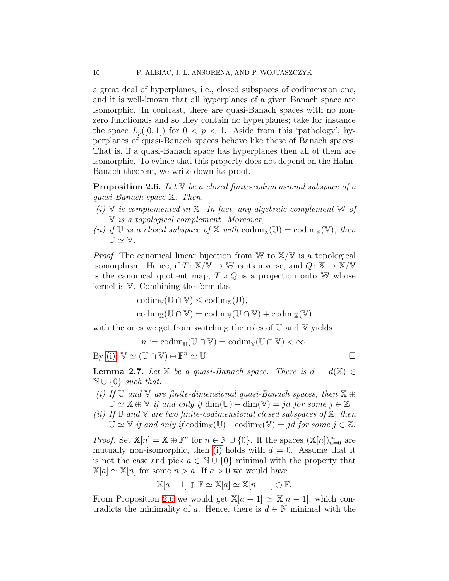a great deal of hyperplanes, i.e., closed subspaces of codimension one, and it is well-known that all hyperplanes of a given Banach space are isomorphic. In contrast, there are quasi-Banach spaces with no nonzero functionals and so they contain no hyperplanes; take for instance the space  $L_p([0,1])$  for  $0 < p < 1$ . Aside from this 'pathology', hyperplanes of quasi-Banach spaces behave like those of Banach spaces. That is, if a quasi-Banach space has hyperplanes then all of them are isomorphic. To evince that this property does not depend on the Hahn-Banach theorem, we write down its proof.

<span id="page-9-2"></span>Proposition 2.6. *Let* V *be a closed finite-codimensional subspace of a quasi-Banach space* X*. Then,*

- <span id="page-9-0"></span>*(i)* V *is complemented in* X*. In fact, any algebraic complement* W *of* V *is a topological complement. Moreover,*
- *(ii)* if U is a closed subspace of X with  $\text{codim}_{\mathbb{X}}(\mathbb{U}) = \text{codim}_{\mathbb{X}}(\mathbb{V})$ , then  $U \simeq V$ .

*Proof.* The canonical linear bijection from W to  $X/W$  is a topological isomorphism. Hence, if  $T: \mathbb{X}/\mathbb{V} \to \mathbb{W}$  is its inverse, and  $Q: \mathbb{X} \to \mathbb{X}/\mathbb{V}$ is the canonical quotient map,  $T \circ Q$  is a projection onto W whose kernel is V. Combining the formulas

$$
codim_{\mathbb{V}}(\mathbb{U} \cap \mathbb{V}) \leq codim_{\mathbb{X}}(\mathbb{U}),
$$
  

$$
codim_{\mathbb{X}}(\mathbb{U} \cap \mathbb{V}) = codim_{\mathbb{V}}(\mathbb{U} \cap \mathbb{V}) + codim_{\mathbb{X}}(\mathbb{V})
$$

with the ones we get from switching the roles of  $U$  and  $V$  yields

 $n := \mathrm{codim}_{\mathbb{U}}(\mathbb{U} \cap \mathbb{V}) = \mathrm{codim}_{\mathbb{V}}(\mathbb{U} \cap \mathbb{V}) < \infty.$ 

By [\(i\),](#page-9-0)  $\mathbb{V} \simeq (\mathbb{U} \cap \mathbb{V}) \oplus \mathbb{F}^n \simeq \mathbb{U}.$ 

<span id="page-9-4"></span>**Lemma 2.7.** *Let*  $X$  *be a quasi-Banach space. There is*  $d = d(X) \in$ N ∪ {0} *such that:*

- <span id="page-9-1"></span>*(i) If* U *and* V *are finite-dimensional quasi-Banach spaces, then* X ⊕  $\mathbb{U} \simeq \mathbb{X} \oplus \mathbb{V}$  *if and only if*  $\dim(\mathbb{U}) - \dim(\mathbb{V}) = id$  *for some*  $j \in \mathbb{Z}$ *.*
- <span id="page-9-3"></span>*(ii) If* U *and* V *are two finite-codimensional closed subspaces of* X*, then*  $\mathbb{U} \simeq \mathbb{V}$  *if and only if*  $\text{codim}_{\mathbb{X}}(\mathbb{U}) - \text{codim}_{\mathbb{X}}(\mathbb{V}) = jd$  *for some*  $j \in \mathbb{Z}$ *.*

*Proof.* Set  $\mathbb{X}[n] = \mathbb{X} \oplus \mathbb{F}^n$  for  $n \in \mathbb{N} \cup \{0\}$ . If the spaces  $(\mathbb{X}[n])_{n=0}^{\infty}$  are mutually non-isomorphic, then [\(i\)](#page-9-1) holds with  $d = 0$ . Assume that it is not the case and pick  $a \in \mathbb{N} \cup \{0\}$  minimal with the property that  $\mathbb{X}[a] \simeq \mathbb{X}[n]$  for some  $n > a$ . If  $a > 0$  we would have

$$
\mathbb{X}[a-1] \oplus \mathbb{F} \simeq \mathbb{X}[a] \simeq \mathbb{X}[n-1] \oplus \mathbb{F}.
$$

From Proposition [2.6](#page-9-2) we would get  $\mathbb{X}[a-1] \simeq \mathbb{X}[n-1]$ , which contradicts the minimality of a. Hence, there is  $d \in \mathbb{N}$  minimal with the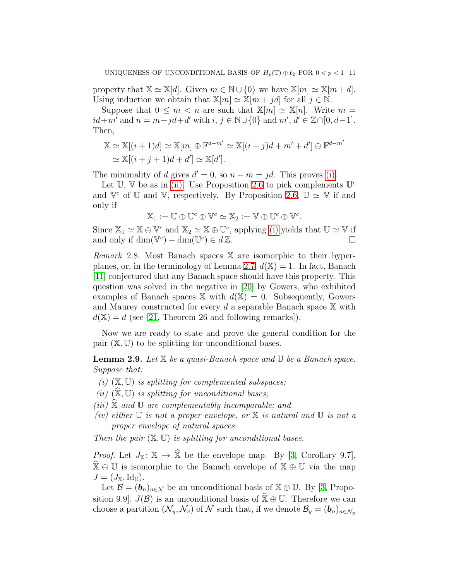property that  $\mathbb{X} \simeq \mathbb{X}[d]$ . Given  $m \in \mathbb{N} \cup \{0\}$  we have  $\mathbb{X}[m] \simeq \mathbb{X}[m+d]$ . Using induction we obtain that  $\mathbb{X}[m] \simeq \mathbb{X}[m + jd]$  for all  $j \in \mathbb{N}$ .

Suppose that  $0 \leq m \leq n$  are such that  $\mathbb{X}[m] \simeq \mathbb{X}[n]$ . Write  $m =$  $id+m'$  and  $n=m+jd+d'$  with  $i, j \in \mathbb{N} \cup \{0\}$  and  $m', d' \in \mathbb{Z} \cap [0, d-1]$ . Then,

$$
\mathbb{X} \simeq \mathbb{X}[(i+1)d] \simeq \mathbb{X}[m] \oplus \mathbb{F}^{d-m'} \simeq \mathbb{X}[(i+j)d+m'+d'] \oplus \mathbb{F}^{d-m'}\simeq \mathbb{X}[(i+j+1)d+d'] \simeq \mathbb{X}[d'].
$$

The minimality of d gives  $d' = 0$ , so  $n - m = jd$ . This proves [\(i\).](#page-9-1)

Let  $\mathbb{U}$ ,  $\mathbb{V}$  be as in [\(ii\).](#page-9-3) Use Proposition [2.6](#page-9-2) to pick complements  $\mathbb{U}^c$ and  $\mathbb{V}^c$  of  $\mathbb{U}$  and  $\mathbb{V}$ , respectively. By Proposition [2.6,](#page-9-2)  $\mathbb{U} \simeq \mathbb{V}$  if and only if

$$
\mathbb{X}_1:=\mathbb{U}\oplus\mathbb{U}^c\oplus\mathbb{V}^c\simeq\mathbb{X}_2:=\mathbb{V}\oplus\mathbb{U}^c\oplus\mathbb{V}^c.
$$

Since  $\mathbb{X}_1 \simeq \mathbb{X} \oplus \mathbb{V}^c$  and  $\mathbb{X}_2 \simeq \mathbb{X} \oplus \mathbb{U}^c$ , applying [\(i\)](#page-9-1) yields that  $\mathbb{U} \simeq \mathbb{V}$  if and only if  $\dim(\mathbb{V}^c) - \dim(\mathbb{U}^c) \in d\mathbb{Z}$ .

*Remark* 2.8*.* Most Banach spaces X are isomorphic to their hyper-planes, or, in the terminology of Lemma [2.7,](#page-9-4)  $d(\mathbb{X}) = 1$ . In fact, Banach [\[11\]](#page-22-11) conjectured that any Banach space should have this property. This question was solved in the negative in [\[20\]](#page-23-13) by Gowers, who exhibited examples of Banach spaces  $X$  with  $d(X) = 0$ . Subsequently, Gowers and Maurey constructed for every d a separable Banach space  $X$  with  $d(\mathbb{X}) = d$  (see [\[21,](#page-23-14) Theorem 26 and following remarks]).

Now we are ready to state and prove the general condition for the pair  $(\mathbb{X}, \mathbb{U})$  to be splitting for unconditional bases.

<span id="page-10-0"></span>Lemma 2.9. *Let* X *be a quasi-Banach space and* U *be a Banach space. Suppose that:*

- *(i)* (X, U) *is splitting for complemented subspaces;*
- *(ii)*  $(\mathbb{X}, \mathbb{U})$  *is splitting for unconditional bases;*
- $(iii)$   $\mathbb X$  *and*  $\mathbb U$  *are complementably incomparable; and*
- *(iv) either* U *is not a proper envelope, or* X *is natural and* U *is not a proper envelope of natural spaces.*

*Then the pair* (X, U) *is splitting for unconditional bases.*

*Proof.* Let  $J_{\mathbb{X}}: \mathbb{X} \to \widehat{\mathbb{X}}$  be the envelope map. By [\[3,](#page-22-10) Corollary 9.7],  $\mathbb{X} \oplus \mathbb{U}$  is isomorphic to the Banach envelope of  $\mathbb{X} \oplus \mathbb{U}$  via the map  $J = (J_{\mathbb{X}}, \mathrm{Id}_{\mathbb{U}}).$ 

Let  $\mathcal{B} = (\mathbf{b}_n)_{n \in \mathcal{N}}$  be an unconditional basis of  $\mathbb{X} \oplus \mathbb{U}$ . By [\[3,](#page-22-10) Proposition 9.9,  $J(\mathcal{B})$  is an unconditional basis of  $\hat{\mathbb{X}}\oplus\mathbb{U}$ . Therefore we can choose a partition  $(\mathcal{N}_y, \mathcal{N}_v)$  of N such that, if we denote  $\mathcal{B}_y = (\mathbf{b}_n)_{n \in \mathcal{N}_y}$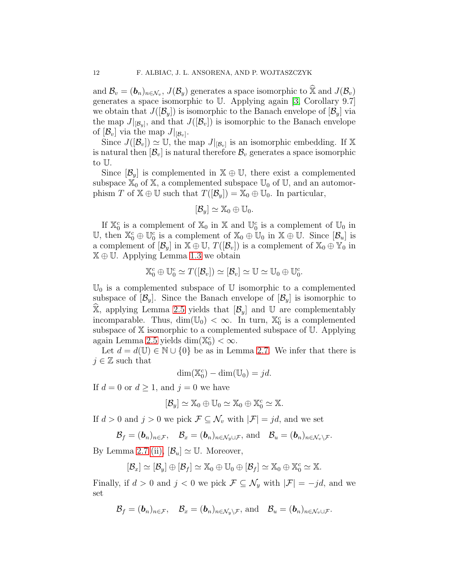and  $\mathcal{B}_v = (\mathbf{b}_n)_{n \in \mathcal{N}_v}, J(\mathcal{B}_y)$  generates a space isomorphic to  $\widehat{\mathbb{X}}$  and  $J(\mathcal{B}_v)$ generates a space isomorphic to U. Applying again [\[3,](#page-22-10) Corollary 9.7] we obtain that  $J(|\mathcal{B}_y|)$  is isomorphic to the Banach envelope of  $|\mathcal{B}_y|$  via the map  $J|_{[\mathcal{B}_y]}$ , and that  $J([\mathcal{B}_v])$  is isomorphic to the Banach envelope of  $[\mathcal{B}_v]$  via the map  $J|_{[\mathcal{B}_v]}$ .

Since  $J([\mathcal{B}_v]) \simeq \mathbb{U}$ , the map  $J|_{[\mathcal{B}_v]}$  is an isomorphic embedding. If X is natural then  $[\mathcal{B}_v]$  is natural therefore  $\mathcal{B}_v$  generates a space isomorphic to U.

Since  $[\mathcal{B}_y]$  is complemented in  $\mathbb{X} \oplus \mathbb{U}$ , there exist a complemented subspace  $\mathbb{X}_0$  of  $\mathbb{X}$ , a complemented subspace  $\mathbb{U}_0$  of  $\mathbb{U}$ , and an automorphism T of  $\mathbb{X} \oplus \mathbb{U}$  such that  $T([\mathcal{B}_y]) = \mathbb{X}_0 \oplus \mathbb{U}_0$ . In particular,

$$
[\mathcal{B}_y] \simeq \mathbb{X}_0 \oplus \mathbb{U}_0.
$$

If  $\mathbb{X}_0^c$  is a complement of  $\mathbb{X}_0$  in  $\mathbb{X}$  and  $\mathbb{U}_0^c$  is a complement of  $\mathbb{U}_0$  in U, then  $\mathbb{X}_0^c \oplus \mathbb{U}_0^c$  is a complement of  $\mathbb{X}_0 \oplus \mathbb{U}_0$  in  $\mathbb{X} \oplus \mathbb{U}$ . Since  $[\mathcal{B}_u]$  is a complement of  $[\mathcal{B}_y]$  in  $\mathbb{X} \oplus \mathbb{U}$ ,  $T([\mathcal{B}_v])$  is a complement of  $\mathbb{X}_0 \oplus \mathbb{Y}_0$  in  $\mathbb{X} \oplus \mathbb{U}$ . Applying Lemma [1.3](#page-6-0) we obtain

$$
\mathbb{X}_0^c \oplus \mathbb{U}_0^c \simeq T([\mathcal{B}_v]) \simeq [\mathcal{B}_v] \simeq \mathbb{U} \simeq \mathbb{U}_0 \oplus \mathbb{U}_0^c.
$$

 $\mathbb{U}_0$  is a complemented subspace of U isomorphic to a complemented subspace of  $[\mathcal{B}_y]$ . Since the Banach envelope of  $[\mathcal{B}_y]$  is isomorphic to X, applying Lemma [2.5](#page-8-0) yields that  $[\mathcal{B}_y]$  and U are complementably incomparable. Thus,  $\dim(\mathbb{U}_0) < \infty$ . In turn,  $\mathbb{X}_0^c$  is a complemented subspace of X isomorphic to a complemented subspace of U. Applying again Lemma [2.5](#page-8-0) yields  $\dim(\mathbb{X}_0^c) < \infty$ .

Let  $d = d(\mathbb{U}) \in \mathbb{N} \cup \{0\}$  be as in Lemma [2.7.](#page-9-4) We infer that there is  $j \in \mathbb{Z}$  such that

$$
\dim(\mathbb{X}_0^c) - \dim(\mathbb{U}_0) = jd.
$$

If  $d = 0$  or  $d \ge 1$ , and  $j = 0$  we have

$$
[\mathcal{B}_y] \simeq \mathbb{X}_0 \oplus \mathbb{U}_0 \simeq \mathbb{X}_0 \oplus \mathbb{X}_0^c \simeq \mathbb{X}.
$$

If  $d > 0$  and  $j > 0$  we pick  $\mathcal{F} \subseteq \mathcal{N}_v$  with  $|\mathcal{F}| = jd$ , and we set

$$
\mathcal{B}_f=(\boldsymbol{b}_n)_{n\in\mathcal{F}},\quad \mathcal{B}_x=(\boldsymbol{b}_n)_{n\in\mathcal{N}_y\cup\mathcal{F}},\ \text{and}\quad \mathcal{B}_u=(\boldsymbol{b}_n)_{n\in\mathcal{N}_v\setminus\mathcal{F}}.
$$

By Lemma [2.7](#page-9-4) [\(ii\),](#page-9-3)  $[\mathcal{B}_u] \simeq \mathbb{U}$ . Moreover,

$$
[\mathcal{B}_x] \simeq [\mathcal{B}_y] \oplus [\mathcal{B}_f] \simeq \mathbb{X}_0 \oplus \mathbb{U}_0 \oplus [\mathcal{B}_f] \simeq \mathbb{X}_0 \oplus \mathbb{X}_0^c \simeq \mathbb{X}.
$$

Finally, if  $d > 0$  and  $j < 0$  we pick  $\mathcal{F} \subseteq \mathcal{N}_y$  with  $|\mathcal{F}| = -jd$ , and we set

$$
\mathcal{B}_f=(\boldsymbol{b}_n)_{n\in\mathcal{F}},\quad \mathcal{B}_x=(\boldsymbol{b}_n)_{n\in\mathcal{N}_y\setminus\mathcal{F}},\,\text{and}\quad \mathcal{B}_u=(\boldsymbol{b}_n)_{n\in\mathcal{N}_v\cup\mathcal{F}}.
$$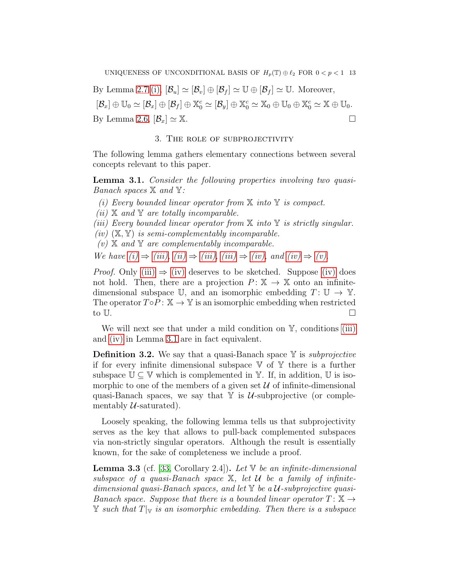By Lemma [2.7](#page-9-4) [\(i\),](#page-9-1)  $[\mathcal{B}_u] \simeq [\mathcal{B}_v] \oplus [\mathcal{B}_f] \simeq \mathbb{U} \oplus [\mathcal{B}_f] \simeq \mathbb{U}$ . Moreover,  $[\mathcal{B}_x] \oplus \mathbb{U}_0 \simeq [\mathcal{B}_x] \oplus [\mathcal{B}_f] \oplus \mathbb{X}_0^c \simeq [\mathcal{B}_y] \oplus \mathbb{X}_0^c \simeq \mathbb{X}_0 \oplus \mathbb{U}_0 \oplus \mathbb{X}_0^c \simeq \mathbb{X} \oplus \mathbb{U}_0.$ By Lemma [2.6,](#page-9-2)  $[\mathcal{B}_x] \simeq \mathbb{X}$ .

### 3. The role of subprojectivity

<span id="page-12-0"></span>The following lemma gathers elementary connections between several concepts relevant to this paper.

<span id="page-12-6"></span><span id="page-12-1"></span>Lemma 3.1. *Consider the following properties involving two quasi-Banach spaces* X *and* Y*:*

- <span id="page-12-3"></span>*(i) Every bounded linear operator from* X *into* Y *is compact.*
- <span id="page-12-2"></span>*(ii)* X *and* Y *are totally incomparable.*

<span id="page-12-4"></span>*(iii) Every bounded linear operator from* X *into* Y *is strictly singular.*

<span id="page-12-5"></span>*(iv)* (X, Y) *is semi-complementably incomparable.*

*(v)* X *and* Y *are complementably incomparable.*

*We have*  $(i) \Rightarrow (iii)$ ,  $(ii) \Rightarrow (iii)$ ,  $(iii) \Rightarrow (iv)$  $(iii) \Rightarrow (iv)$ , and  $(iv) \Rightarrow (v)$ .

*Proof.* Only [\(iii\)](#page-12-2)  $\Rightarrow$  [\(iv\)](#page-12-4) deserves to be sketched. Suppose [\(iv\)](#page-12-4) does not hold. Then, there are a projection  $P: \mathbb{X} \to \mathbb{X}$  onto an infinitedimensional subspace U, and an isomorphic embedding  $T: U \to Y$ . The operator  $T \circ P : \mathbb{X} \to \mathbb{Y}$  is an isomorphic embedding when restricted to  $\mathbb{U}$ .

We will next see that under a mild condition on  $\mathbb{Y}$ , conditions [\(iii\)](#page-12-2) and [\(iv\)](#page-12-4) in Lemma [3.1](#page-12-6) are in fact equivalent.

Definition 3.2. We say that a quasi-Banach space Y is *subprojective* if for every infinite dimensional subspace  $V$  of  $Y$  there is a further subspace  $\mathbb{U} \subseteq \mathbb{V}$  which is complemented in  $\mathbb{Y}$ . If, in addition,  $\mathbb{U}$  is isomorphic to one of the members of a given set  $\mathcal U$  of infinite-dimensional quasi-Banach spaces, we say that  $Y$  is U-subprojective (or complementably  $U$ -saturated).

Loosely speaking, the following lemma tells us that subprojectivity serves as the key that allows to pull-back complemented subspaces via non-strictly singular operators. Although the result is essentially known, for the sake of completeness we include a proof.

<span id="page-12-7"></span>Lemma 3.3 (cf. [\[33,](#page-23-15) Corollary 2.4]). *Let* V *be an infinite-dimensional subspace of a quasi-Banach space* X*, let* U *be a family of infinitedimensional quasi-Banach spaces, and let* Y *be a* U*-subprojective quasi-Banach space. Suppose that there is a bounded linear operator*  $T: \mathbb{X} \rightarrow$  $\mathbb Y$  *such that*  $T|_{\mathbb V}$  *is an isomorphic embedding. Then there is a subspace*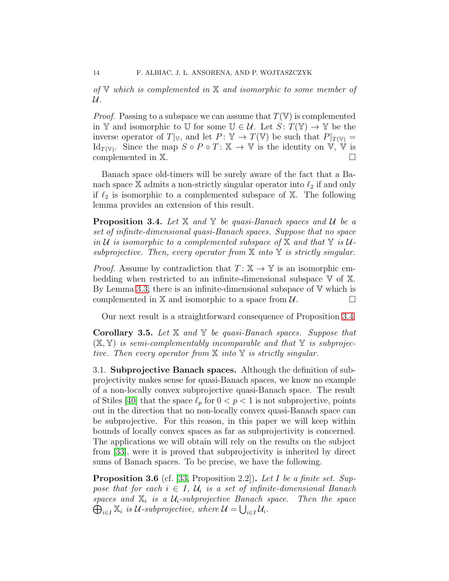*of* V *which is complemented in* X *and isomorphic to some member of* U*.*

*Proof.* Passing to a subspace we can assume that  $T(V)$  is complemented in Y and isomorphic to U for some  $\mathbb{U} \in \mathcal{U}$ . Let  $S: T(\mathbb{Y}) \to \mathbb{Y}$  be the inverse operator of  $T|_{V}$ , and let  $P: \mathbb{Y} \to T(\mathbb{V})$  be such that  $P|_{T(\mathbb{V})} =$ Id<sub>T(V)</sub>. Since the map  $S \circ P \circ T: \mathbb{X} \to \mathbb{V}$  is the identity on  $\mathbb{V}, \mathbb{V}$  is complemented in X.

Banach space old-timers will be surely aware of the fact that a Banach space X admits a non-strictly singular operator into  $\ell_2$  if and only if  $\ell_2$  is isomorphic to a complemented subspace of X. The following lemma provides an extension of this result.

<span id="page-13-0"></span>Proposition 3.4. *Let* X *and* Y *be quasi-Banach spaces and* U *be a set of infinite-dimensional quasi-Banach spaces. Suppose that no space in*  $U$  *is isomorphic to a complemented subspace of*  $X$  *and that*  $Y$  *is*  $U$ *subprojective. Then, every operator from* X *into* Y *is strictly singular.*

*Proof.* Assume by contradiction that  $T: \mathbb{X} \to \mathbb{Y}$  is an isomorphic embedding when restricted to an infinite-dimensional subspace V of X. By Lemma [3.3,](#page-12-7) there is an infinite-dimensional subspace of  $V$  which is complemented in  $X$  and isomorphic to a space from  $U$ .

Our next result is a straightforward consequence of Proposition [3.4.](#page-13-0)

<span id="page-13-2"></span>Corollary 3.5. *Let* X *and* Y *be quasi-Banach spaces. Suppose that* (X, Y) *is semi-complementably incomparable and that* Y *is subprojective. Then every operator from* X *into* Y *is strictly singular.*

3.1. Subprojective Banach spaces. Although the definition of subprojectivity makes sense for quasi-Banach spaces, we know no example of a non-locally convex subprojective quasi-Banach space. The result of Stiles [\[40\]](#page-23-16) that the space  $\ell_p$  for  $0 < p < 1$  is not subprojective, points out in the direction that no non-locally convex quasi-Banach space can be subprojective. For this reason, in this paper we will keep within bounds of locally convex spaces as far as subprojectivity is concerned. The applications we will obtain will rely on the results on the subject from [\[33\]](#page-23-15), were it is proved that subprojectivity is inherited by direct sums of Banach spaces. To be precise, we have the following.

<span id="page-13-1"></span>Proposition 3.6 (cf. [\[33,](#page-23-15) Proposition 2.2]). *Let* I *be a finite set. Suppose that for each*  $i \in I$ ,  $\mathcal{U}_i$  is a set of infinite-dimensional Banach  $spaces$  and  $\mathbb{X}_i$  is a  $\mathcal{U}_i$ -subprojective Banach space. Then the space  $\bigoplus_{i\in I} \mathbb{X}_i$  is U-subprojective, where  $\mathcal{U} = \bigcup_{i\in I} \mathcal{U}_i$ .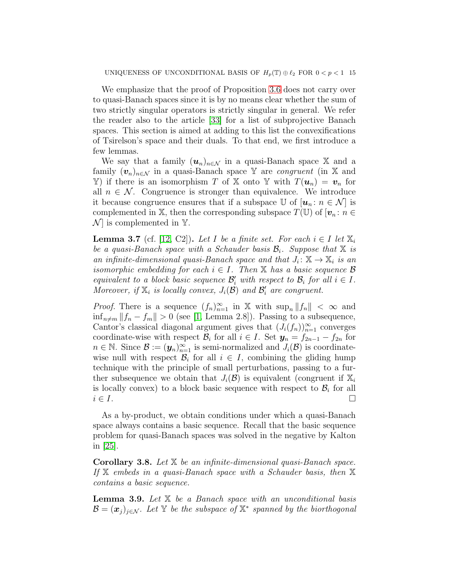We emphasize that the proof of Proposition [3.6](#page-13-1) does not carry over to quasi-Banach spaces since it is by no means clear whether the sum of two strictly singular operators is strictly singular in general. We refer the reader also to the article [\[33\]](#page-23-15) for a list of subprojective Banach spaces. This section is aimed at adding to this list the convexifications of Tsirelson's space and their duals. To that end, we first introduce a few lemmas.

We say that a family  $(u_n)_{n \in \mathcal{N}}$  in a quasi-Banach space X and a family  $(v_n)_{n \in \mathcal{N}}$  in a quasi-Banach space Y are *congruent* (in X and Y) if there is an isomorphism T of X onto Y with  $T(\mathbf{u}_n) = \mathbf{v}_n$  for all  $n \in \mathcal{N}$ . Congruence is stronger than equivalence. We introduce it because congruence ensures that if a subspace  $\mathbb{U}$  of  $[u_n : n \in \mathcal{N}]$  is complemented in X, then the corresponding subspace  $T(\mathbb{U})$  of  $[\boldsymbol{v}_n : n \in$  $\mathcal{N}$  is complemented in Y.

<span id="page-14-0"></span>**Lemma 3.7** (cf. [\[12,](#page-22-12) C2]). Let I be a finite set. For each  $i \in I$  let  $\mathbb{X}_i$ *be a quasi-Banach space with a Schauder basis* B<sup>i</sup> *. Suppose that* X *is an infinite-dimensional quasi-Banach space and that*  $J_i: \mathbb{X} \to \mathbb{X}_i$  *is an isomorphic embedding for each*  $i \in I$ . Then  $X$  *has a basic sequence*  $\beta$ *equivalent to a block basic sequence*  $\mathcal{B}'_i$  *with respect to*  $\mathcal{B}_i$  *for all*  $i \in I$ *.* Moreover, if  $\mathbb{X}_i$  is locally convex,  $J_i(\mathcal{B})$  and  $\mathcal{B}'_i$  are congruent.

*Proof.* There is a sequence  $(f_n)_{n=1}^{\infty}$  in X with  $\sup_n ||f_n|| < \infty$  and  $\inf_{n \neq m} ||f_n - f_m|| > 0$  (see [\[1,](#page-22-4) Lemma 2.8]). Passing to a subsequence, Cantor's classical diagonal argument gives that  $(J_i(f_n))_{n=1}^{\infty}$  converges coordinate-wise with respect  $\mathcal{B}_i$  for all  $i \in I$ . Set  $y_n = f_{2n-1} - f_{2n}$  for  $n \in \mathbb{N}$ . Since  $\mathcal{B} := (\mathbf{y}_n)_{n=1}^{\infty}$  is semi-normalized and  $J_i(\mathcal{B})$  is coordinatewise null with respect  $\mathcal{B}_i$  for all  $i \in I$ , combining the gliding hump technique with the principle of small perturbations, passing to a further subsequence we obtain that  $J_i(\mathcal{B})$  is equivalent (congruent if  $\mathbb{X}_i$ ) is locally convex) to a block basic sequence with respect to  $\mathcal{B}_i$  for all  $i \in I$ .

As a by-product, we obtain conditions under which a quasi-Banach space always contains a basic sequence. Recall that the basic sequence problem for quasi-Banach spaces was solved in the negative by Kalton in [\[25\]](#page-23-17).

Corollary 3.8. *Let* X *be an infinite-dimensional quasi-Banach space. If* X *embeds in a quasi-Banach space with a Schauder basis, then* X *contains a basic sequence.*

<span id="page-14-1"></span>Lemma 3.9. *Let* X *be a Banach space with an unconditional basis*  $\mathcal{B} = (\boldsymbol{x}_j)_{j \in \mathcal{N}}$ *. Let* Y *be the subspace of*  $\mathbb{X}^*$  *spanned by the biorthogonal*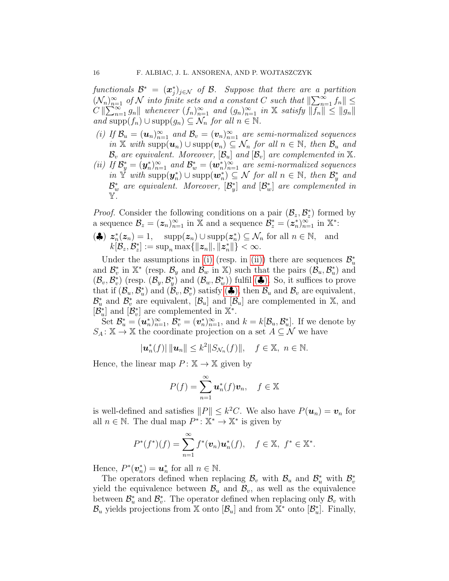$\textit{functionals } \mathcal{B}^* \ = \ (\boldsymbol{x}_j^*)_{j \in \mathcal{N}} \ \textit{of } \mathcal{B}. \ \ \textit{Suppose that there are a partition}$  $(\mathcal{N}_n)_{n=1}^{\infty}$  *of*  $\mathcal N$  *into finite sets and a constant* C *such that*  $\|\sum_{n=1}^{\infty} f_n\|$   $\leq$  $C \|\sum_{n=1}^{\infty} g_n\|$  whenever  $(f_n)_{n=1}^{\infty}$  and  $(g_n)_{n=1}^{\infty}$  in X satisfy  $\|\overline{f_n}\| \leq \|g_n\|$ *and* supp $(f_n)$  ∪ supp $(g_n)$  ⊆  $\mathcal{N}_n$  *for all*  $n \in \mathbb{N}$ .

- <span id="page-15-0"></span>*(i)* If  $\mathcal{B}_u = (\boldsymbol{u}_n)_{n=1}^{\infty}$  and  $\mathcal{B}_v = (\boldsymbol{v}_n)_{n=1}^{\infty}$  are semi-normalized sequences *in*  $\mathbb{X}$  *with* supp $(u_n)$  ∪ supp $(v_n)$  ⊆  $\mathcal{N}_n$  *for all*  $n \in \mathbb{N}$ *, then*  $\mathcal{B}_u$  *and*  $\mathcal{B}_v$  *are equivalent. Moreover,*  $[\mathcal{B}_u]$  *and*  $[\mathcal{B}_v]$  *are complemented in* X*.*
- <span id="page-15-1"></span>(*ii*) If  $\mathcal{B}_y^* = (\mathbf{y}_n^*)_{n=1}^\infty$  and  $\mathcal{B}_w^* = (\mathbf{w}_n^*)_{n=1}^\infty$  are semi-normalized sequences *in*  $\mathbb{Y}$  *with*  $\text{supp}(\mathbf{y}_n^*) \cup \text{supp}(\mathbf{w}_n^*) \subseteq \mathcal{N}$  *for all*  $n \in \mathbb{N}$ *, then*  $\mathcal{B}_y^*$  *and*  $\mathcal{B}^*_w$  are equivalent. Moreover,  $[\mathcal{B}^*_y]$  and  $[\mathcal{B}^*_w]$  are complemented in Y*.*

*Proof.* Consider the following conditions on a pair  $(\mathcal{B}_z, \mathcal{B}_z^*)$  formed by a sequence  $\mathcal{B}_z = (z_n)_{n=1}^{\infty}$  in X and a sequence  $\mathcal{B}_z^* = (z_n^*)_{n=1}^{\infty}$  in X<sup>\*</sup>:

<span id="page-15-2"></span>
$$
\begin{aligned}\n\left(\clubsuit\right) \ z_n^*(z_n) &= 1, \quad \text{supp}(z_n) \cup \text{supp}(z_n^*) \subseteq \mathcal{N}_n \text{ for all } n \in \mathbb{N}, \quad \text{and} \\
k[\mathcal{B}_z, \mathcal{B}_z^*] &:= \text{sup}_n \max\{\|z_n\|, \|z_n^*\|\} < \infty.\n\end{aligned}
$$

Under the assumptions in [\(i\)](#page-15-0) (resp. in [\(ii\)\)](#page-15-1) there are sequences  $\mathcal{B}_{u}^{*}$ and  $\mathcal{B}_{v}^{*}$  in  $\mathbb{X}^{*}$  (resp.  $\mathcal{B}_{y}$  and  $\mathcal{B}_{w}$  in  $\mathbb{X})$  such that the pairs  $(\mathcal{B}_{u}, \mathcal{B}_{u}^{*})$  and  $(\mathcal{B}_v, \mathcal{B}_v^*)$  (resp.  $(\mathcal{B}_y, \mathcal{B}_y^*)$  and  $(\mathcal{B}_w, \mathcal{B}_w^*)$ ) fulfil  $(\clubsuit)$ . So, it suffices to prove that if  $(\mathcal{B}_u, \mathcal{B}_u^*)$  and  $(\mathcal{B}_v, \mathcal{B}_v^*)$  satisfy  $(\clubsuit)$ , then  $\mathcal{B}_u$  and  $\mathcal{B}_v$  are equivalent,  $\mathcal{B}_{u}^{*}$  and  $\mathcal{B}_{v}^{*}$  are equivalent,  $[\mathcal{B}_{u}]$  and  $[\mathcal{B}_{u}]$  are complemented in X, and  $[\mathcal{B}_{u}^{*}]$  and  $[\mathcal{B}_{v}^{*}]$  are complemented in  $\mathbb{X}^{*}$ .

Set  $\mathcal{B}_{u}^* = (\boldsymbol{u}_n^*)_{n=1}^{\infty}$ ,  $\mathcal{B}_{v}^* = (\boldsymbol{v}_n^*)_{n=1}^{\infty}$ , and  $k = k[\mathcal{B}_{u}, \mathcal{B}_{u}^*]$ . If we denote by  $S_A: \mathbb{X} \to \mathbb{X}$  the coordinate projection on a set  $A \subseteq \mathcal{N}$  we have

$$
|\boldsymbol{u}_n^*(f)| \, ||\boldsymbol{u}_n|| \leq k^2 ||S_{\mathcal{N}_n}(f)||, \quad f \in \mathbb{X}, \ n \in \mathbb{N}.
$$

Hence, the linear map  $P: \mathbb{X} \to \mathbb{X}$  given by

$$
P(f) = \sum_{n=1}^{\infty} \boldsymbol{u}_n^*(f)\boldsymbol{v}_n, \quad f \in \mathbb{X}
$$

is well-defined and satisfies  $||P|| \leq k^2C$ . We also have  $P(\boldsymbol{u}_n) = \boldsymbol{v}_n$  for all  $n \in \mathbb{N}$ . The dual map  $P^* \colon \mathbb{X}^* \to \mathbb{X}^*$  is given by

$$
P^*(f^*)(f) = \sum_{n=1}^{\infty} f^*(v_n) \mathbf{u}_n^*(f), \quad f \in \mathbb{X}, \ f^* \in \mathbb{X}^*.
$$

Hence,  $P^*(v_n^*) = u_n^*$  for all  $n \in \mathbb{N}$ .

The operators defined when replacing  $\mathcal{B}_v$  with  $\mathcal{B}_u$  and  $\mathcal{B}_u^*$  with  $\mathcal{B}_v^*$ yield the equivalence between  $\mathcal{B}_u$  and  $\mathcal{B}_v$ , as well as the equivalence between  $\mathcal{B}_{u}^{*}$  and  $\mathcal{B}_{v}^{*}$ . The operator defined when replacing only  $\mathcal{B}_{v}$  with  $\mathcal{B}_u$  yields projections from X onto  $[\mathcal{B}_u]$  and from X<sup>\*</sup> onto  $[\mathcal{B}_u^*]$ . Finally,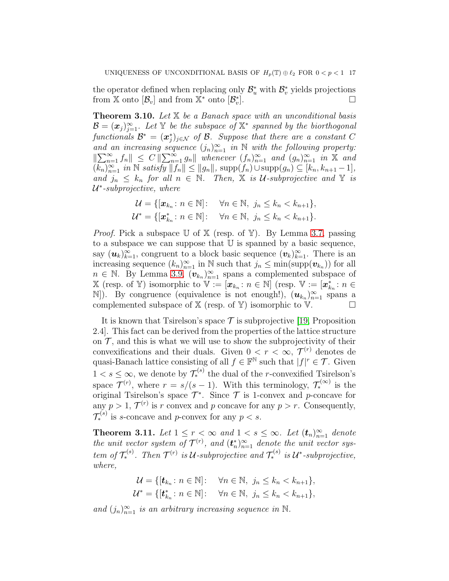the operator defined when replacing only  $\mathcal{B}_{u}^{*}$  with  $\mathcal{B}_{v}^{*}$  yields projections from  $\mathbb{X}$  onto  $[\mathcal{B}_v]$  and from  $\mathbb{X}^*$  onto  $[\mathcal{B}_v^*]$  $\Box$ 

<span id="page-16-0"></span>Theorem 3.10. *Let* X *be a Banach space with an unconditional basis*  $\mathcal{B} = (\boldsymbol{x}_j)_{j=1}^\infty$ . Let Y be the subspace of X<sup>\*</sup> spanned by the biorthogonal  $\textit{functionals } \mathcal{B}^* \, = \, (\boldsymbol{x}^*_j)_{j \in \mathcal{N}} \, \textit{ of } \mathcal{B}. \ \textit{ Suppose that there are a constant } C$ and an increasing sequence  $(j_n)_{n=1}^{\infty}$  in N with the following property:  $\|\sum_{n=1}^{\infty} f_n\| \leq C \|\sum_{n=1}^{\infty} g_n\|$  whenever  $(f_n)_{n=1}^{\infty}$  and  $(g_n)_{n=1}^{\infty}$  in X and  $(\overline{k_n})_{n=1}^{\infty}$  *in*  $\mathbb N$  *satisfy*  $||\overline{f_n}|| \le ||g_n||$ ,  $\text{supp}(\overline{f_n}) \cup \text{supp}(g_n) \subseteq [k_n, k_{n+1}-1]$ , *and*  $j_n \leq k_n$  *for all*  $n \in \mathbb{N}$ *. Then,*  $\mathbb{X}$  *is U-subprojective and*  $\mathbb{Y}$  *is* U ∗ *-subprojective, where*

$$
\mathcal{U} = \{[\boldsymbol{x}_{k_n} : n \in \mathbb{N}] : \quad \forall n \in \mathbb{N}, \ j_n \le k_n < k_{n+1}\},
$$
\n
$$
\mathcal{U}^* = \{[\boldsymbol{x}_{k_n}^* : n \in \mathbb{N}] : \quad \forall n \in \mathbb{N}, \ j_n \le k_n < k_{n+1}\}.
$$

*Proof.* Pick a subspace  $\mathbb U$  of  $\mathbb X$  (resp. of  $\mathbb Y$ ). By Lemma [3.7,](#page-14-0) passing to a subspace we can suppose that  $U$  is spanned by a basic sequence, say  $(\boldsymbol{u}_k)_{k=1}^{\infty}$ , congruent to a block basic sequence  $(\boldsymbol{v}_k)_{k=1}^{\infty}$ . There is an increasing sequence  $(k_n)_{n=1}^{\infty}$  in N such that  $j_n \leq \min(\text{supp}(\boldsymbol{v}_{k_n}))$  for all  $n \in \mathbb{N}$ . By Lemma [3.9,](#page-14-1)  $(\boldsymbol{v}_{k_n})_{n=1}^{\infty}$  spans a complemented subspace of  $\mathbb{X}$  (resp. of Y) isomorphic to  $\mathbb{V} := [\boldsymbol{x}_{k_n} : n \in \mathbb{N}]$  (resp.  $\mathbb{V} := [\boldsymbol{x}_{k_n}^* : n \in \mathbb{N}]$ N]). By congruence (equivalence is not enough!),  $(u_{k_n})_{n=1}^{\infty}$  spans a complemented subspace of  $X$  (resp. of  $Y$ ) isomorphic to  $V$ .

It is known that Tsirelson's space  $\mathcal T$  is subprojective [\[19,](#page-23-18) Proposition] 2.4]. This fact can be derived from the properties of the lattice structure on  $\mathcal T$ , and this is what we will use to show the subprojectivity of their convexifications and their duals. Given  $0 < r < \infty$ ,  $\mathcal{T}^{(r)}$  denotes de quasi-Banach lattice consisting of all  $f \in \mathbb{F}^{\mathbb{N}}$  such that  $|f|^{r} \in \mathcal{T}$ . Given  $1 < s \leq \infty$ , we denote by  $\mathcal{T}_{*}^{(s)}$  the dual of the *r*-convexified Tsirelson's space  $\mathcal{T}^{(r)}$ , where  $r = s/(s-1)$ . With this terminology,  $\mathcal{T}_{*}^{(\infty)}$  is the original Tsirelson's space  $\mathcal{T}^*$ . Since  $\mathcal T$  is 1-convex and p-concave for any  $p > 1$ ,  $\mathcal{T}^{(r)}$  is r convex and p concave for any  $p > r$ . Consequently,  $\mathcal{T}_{*}^{(s)}$  is s-concave and p-convex for any  $p < s$ .

<span id="page-16-1"></span>**Theorem 3.11.** Let  $1 \leq r < \infty$  and  $1 < s \leq \infty$ . Let  $(t_n)_{n=1}^{\infty}$  denote *the unit vector system of*  $\mathcal{T}^{(r)}$ *, and*  $(\mathbf{t}_n^*)_{n=1}^{\infty}$  *denote the unit vector system of*  $\mathcal{T}_{*}^{(s)}$ *. Then*  $\mathcal{T}^{(r)}$  *is*  $\mathcal{U}$ -subprojective and  $\mathcal{T}_{*}^{(s)}$  *is*  $\mathcal{U}^{*}$ -subprojective, *where,*

$$
\mathcal{U} = \{ [\mathbf{t}_{k_n} : n \in \mathbb{N}] : \quad \forall n \in \mathbb{N}, j_n \le k_n < k_{n+1} \},
$$
\n
$$
\mathcal{U}^* = \{ [\mathbf{t}_{k_n}^* : n \in \mathbb{N}] : \quad \forall n \in \mathbb{N}, j_n \le k_n < k_{n+1} \},
$$

and  $(j_n)_{n=1}^{\infty}$  *is an arbitrary increasing sequence in* N.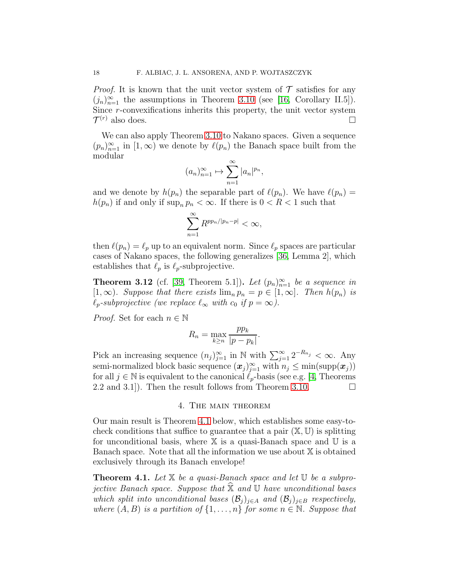*Proof.* It is known that the unit vector system of  $\mathcal T$  satisfies for any  $(j_n)_{n=1}^{\infty}$  the assumptions in Theorem [3.10](#page-16-0) (see [\[16,](#page-22-13) Corollary II.5]). Since r-convexifications inherits this property, the unit vector system  $\mathcal{T}^{(r)}$  also does.

We can also apply Theorem [3.10](#page-16-0) to Nakano spaces. Given a sequence  $(p_n)_{n=1}^{\infty}$  in  $[1,\infty)$  we denote by  $\ell(p_n)$  the Banach space built from the modular

$$
(a_n)_{n=1}^{\infty} \mapsto \sum_{n=1}^{\infty} |a_n|^{p_n},
$$

and we denote by  $h(p_n)$  the separable part of  $\ell(p_n)$ . We have  $\ell(p_n)$  =  $h(p_n)$  if and only if  $\sup_n p_n < \infty$ . If there is  $0 < R < 1$  such that

$$
\sum_{n=1}^{\infty} R^{pp_n/|p_n-p|} < \infty,
$$

then  $\ell(p_n) = \ell_p$  up to an equivalent norm. Since  $\ell_p$  spaces are particular cases of Nakano spaces, the following generalizes [\[36,](#page-23-19) Lemma 2], which establishes that  $\ell_p$  is  $\ell_p$ -subprojective.

**Theorem 3.12** (cf. [\[39,](#page-23-20) Theorem 5.1]). Let  $(p_n)_{n=1}^{\infty}$  be a sequence in  $[1,\infty)$ *. Suppose that there exists*  $\lim_{n} p_n = p \in [1,\infty]$ *. Then*  $h(p_n)$  *is*  $\ell_p$ -subprojective (we replace  $\ell_\infty$  with  $c_0$  if  $p = \infty$ ).

*Proof.* Set for each  $n \in \mathbb{N}$ 

$$
R_n = \max_{k \ge n} \frac{pp_k}{|p - p_k|}.
$$

Pick an increasing sequence  $(n_j)_{j=1}^{\infty}$  in N with  $\sum_{j=1}^{\infty} 2^{-R_{n_j}} < \infty$ . Any semi-normalized block basic sequence  $(x_j)_{j=1}^{\infty}$  with  $n_j \le \min(\text{supp}(\boldsymbol{x}_j))$ for all  $j \in \mathbb{N}$  is equivalent to the canonical  $\ell_p$ -basis (see e.g. [\[4,](#page-22-14) Theorems 2.2 and 3.1]). Then the result follows from Theorem [3.10.](#page-16-0)  $\Box$ 

#### 4. The main theorem

<span id="page-17-0"></span>Our main result is Theorem [4.1](#page-17-1) below, which establishes some easy-tocheck conditions that suffice to guarantee that a pair  $(\mathbb{X}, \mathbb{U})$  is splitting for unconditional basis, where  $X$  is a quasi-Banach space and  $U$  is a Banach space. Note that all the information we use about  $X$  is obtained exclusively through its Banach envelope!

<span id="page-17-1"></span>Theorem 4.1. *Let* X *be a quasi-Banach space and let* U *be a subprojective Banach space. Suppose that*  $\widehat{\mathbb{X}}$  *and* U *have unconditional bases which split into unconditional bases*  $(\mathcal{B}_i)_{i \in A}$  *and*  $(\mathcal{B}_i)_{i \in B}$  *respectively, where*  $(A, B)$  *is a partition of*  $\{1, \ldots, n\}$  *for some*  $n \in \mathbb{N}$ *. Suppose that*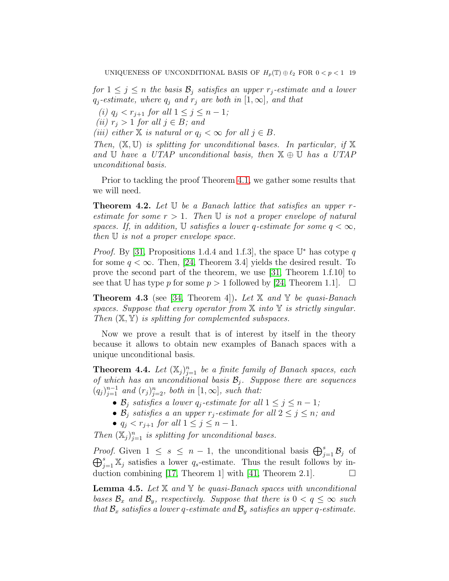*for*  $1 \leq j \leq n$  *the basis*  $\mathcal{B}_j$  *satisfies an upper*  $r_j$ -estimate and a lower  $q_j$ -estimate, where  $q_j$  and  $r_j$  are both in  $[1, \infty]$ , and that

*(i)*  $q_j < r_{j+1}$  *for all*  $1 \leq j \leq n-1$ *;* 

*(ii)*  $r_j > 1$  *for all*  $j \in B$ *; and* 

*(iii)* either  $X$  *is natural or*  $q_i < \infty$  *for all*  $j \in B$ *.* 

*Then,* (X, U) *is splitting for unconditional bases. In particular, if* X *and* U *have a UTAP unconditional basis, then* X ⊕ U *has a UTAP unconditional basis.*

Prior to tackling the proof Theorem [4.1,](#page-17-1) we gather some results that we will need.

<span id="page-18-1"></span>Theorem 4.2. *Let* U *be a Banach lattice that satisfies an upper* r*estimate for some*  $r > 1$ *. Then* U *is not a proper envelope of natural spaces. If, in addition,*  $\mathbb{U}$  *satisfies a lower q-estimate for some*  $q < \infty$ *, then* U *is not a proper envelope space.*

*Proof.* By [\[31,](#page-23-9) Propositions 1.d.4 and 1.f.3], the space  $\mathbb{U}^*$  has cotype q for some  $q < \infty$ . Then, [\[24,](#page-23-11) Theorem 3.4] yields the desired result. To prove the second part of the theorem, we use [\[31,](#page-23-9) Theorem 1.f.10] to see that U has type p for some  $p > 1$  followed by [\[24,](#page-23-11) Theorem 1.1].  $\Box$ 

<span id="page-18-3"></span>Theorem 4.3 (see [\[34,](#page-23-6) Theorem 4]). *Let* X *and* Y *be quasi-Banach spaces. Suppose that every operator from* X *into* Y *is strictly singular. Then* (X, Y) *is splitting for complemented subspaces.*

Now we prove a result that is of interest by itself in the theory because it allows to obtain new examples of Banach spaces with a unique unconditional basis.

<span id="page-18-2"></span>**Theorem 4.4.** Let  $(X_j)_{j=1}^n$  be a finite family of Banach spaces, each *of which has an unconditional basis* B<sup>j</sup> *. Suppose there are sequences*  $(q_j)_{j=1}^{n-1}$  and  $(r_j)_{j=2}^n$ , both in  $[1,\infty]$ , such that:

- $\mathcal{B}_j$  *satisfies a lower*  $q_j$ -estimate for all  $1 \leq j \leq n-1$ ;
- $\mathcal{B}_j$  *satisfies a an upper*  $r_j$ -estimate for all  $2 \leq j \leq n$ ; and
- $q_j < r_{j+1}$  *for all*  $1 \leq j \leq n-1$ *.*

Then  $(X_j)_{j=1}^n$  *is splitting for unconditional bases.* 

*Proof.* Given  $1 \leq s \leq n-1$ , the unconditional basis  $\bigoplus_{j=1}^{s} \mathcal{B}_j$  of  $\bigoplus_{j=1}^s \mathbb{X}_j$  satisfies a lower  $q_s$ -estimate. Thus the result follows by in-duction combining [\[17,](#page-22-15) Theorem 1] with [\[41,](#page-24-1) Theorem 2.1].  $\Box$ 

<span id="page-18-0"></span>Lemma 4.5. *Let* X *and* Y *be quasi-Banach spaces with unconditional bases*  $\mathcal{B}_x$  *and*  $\mathcal{B}_y$ *, respectively. Suppose that there is*  $0 < q \leq \infty$  *such that*  $\mathcal{B}_x$  *satisfies a lower q-estimate and*  $\mathcal{B}_y$  *satisfies an upper q-estimate.*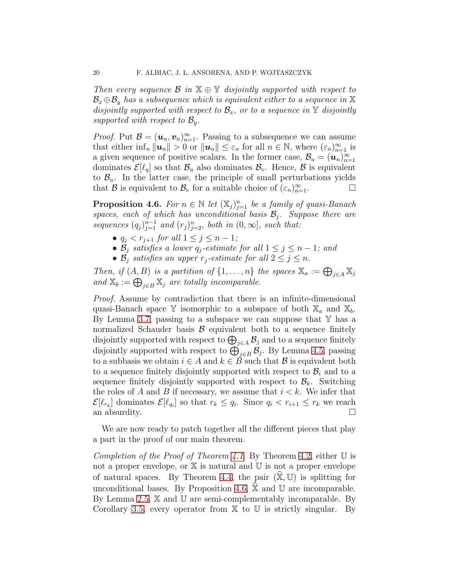*Then every sequence* B *in* X ⊕ Y *disjointly supported with respect to*  $\mathcal{B}_x \oplus \mathcal{B}_y$  has a subsequence which is equivalent either to a sequence in X *disjointly supported with respect to*  $\mathcal{B}_x$ *, or to a sequence in* Y *disjointly supported with respect to*  $\mathcal{B}_y$ *.* 

*Proof.* Put  $\mathcal{B} = (\mathbf{u}_n, \mathbf{v}_n)_{n=1}^{\infty}$ . Passing to a subsequence we can assume that either  $\inf_n ||u_n|| > 0$  or  $||u_n|| \leq \varepsilon_n$  for all  $n \in \mathbb{N}$ , where  $(\varepsilon_n)_{n=1}^{\infty}$  is a given sequence of positive scalars. In the former case,  $\mathcal{B}_u = (\boldsymbol{u}_n)_{n=1}^\infty$ dominates  $\mathcal{E}[\ell_q]$  so that  $\mathcal{B}_u$  also dominates  $\mathcal{B}_v$ . Hence,  $\mathcal{B}$  is equivalent to  $\mathcal{B}_u$ . In the latter case, the principle of small perturbations yields that B is equivalent to  $\mathcal{B}_v$  for a suitable choice of  $(\varepsilon_n)_{n=1}^{\infty}$ .

<span id="page-19-0"></span>**Proposition 4.6.** *For*  $n \in \mathbb{N}$  *let*  $(\mathbb{X}_j)_{j=1}^n$  *be a family of quasi-Banach spaces, each of which has unconditional basis*  $B_j$ *. Suppose there are* sequences  $(q_j)_{j=1}^{n-1}$  and  $(r_j)_{j=2}^n$ , both in  $(0,\infty]$ , such that:

- $q_j < r_{j+1}$  *for all*  $1 \leq j \leq n-1$ *;*
- $\mathcal{B}_j$  *satisfies a lower q<sub>j</sub>-estimate for all*  $1 \leq j \leq n-1$ *; and*
- $\mathcal{B}_j$  *satisfies an upper*  $r_j$ -estimate for all  $2 \leq j \leq n$ .

*Then, if*  $(A, B)$  *is a partition of*  $\{1, \ldots, n\}$  *the spaces*  $\mathbb{X}_a := \bigoplus_{j \in A} \mathbb{X}_j$ and  $\mathbb{X}_b := \bigoplus_{j \in B} \mathbb{X}_j$  are totally incomparable.

*Proof.* Assume by contradiction that there is an infinite-dimensional quasi-Banach space Y isomorphic to a subspace of both  $\mathbb{X}_a$  and  $\mathbb{X}_b$ . By Lemma [3.7,](#page-14-0) passing to a subspace we can suppose that  $\mathbb Y$  has a normalized Schauder basis  $\beta$  equivalent both to a sequence finitely disjointly supported with respect to  $\bigoplus_{j\in A} \mathcal{B}_j$  and to a sequence finitely disjointly supported with respect to  $\bigoplus_{j\in B}^{\infty} \mathcal{B}_j$ . By Lemma [4.5,](#page-18-0) passing to a subbasis we obtain  $i \in A$  and  $k \in \tilde{B}$  such that  $\mathcal{B}$  is equivalent both to a sequence finitely disjointly supported with respect to  $\mathcal{B}_i$  and to a sequence finitely disjointly supported with respect to  $\mathcal{B}_k$ . Switching the roles of A and B if necessary, we assume that  $i < k$ . We infer that  $\mathcal{E}[\ell_{r_k}]$  dominates  $\mathcal{E}[\ell_{q_i}]$  so that  $r_k \leq q_i$ . Since  $q_i < r_{i+1} \leq r_k$  we reach an absurdity.

We are now ready to patch together all the different pieces that play a part in the proof of our main theorem.

*Completion of the Proof of Theorem [4.1.](#page-17-1)* By Theorem [4.2,](#page-18-1) either U is not a proper envelope, or  $X$  is natural and  $U$  is not a proper envelope of natural spaces. By Theorem [4.4,](#page-18-2) the pair  $(\widehat{\mathbb{X}}, \mathbb{U})$  is splitting for unconditional bases. By Proposition [4.6,](#page-19-0)  $\hat{\mathbb{X}}$  and U are incomparable. By Lemma [2.5,](#page-8-0) X and U are semi-complementably incomparable. By Corollary [3.5,](#page-13-2) every operator from  $X$  to  $U$  is strictly singular. By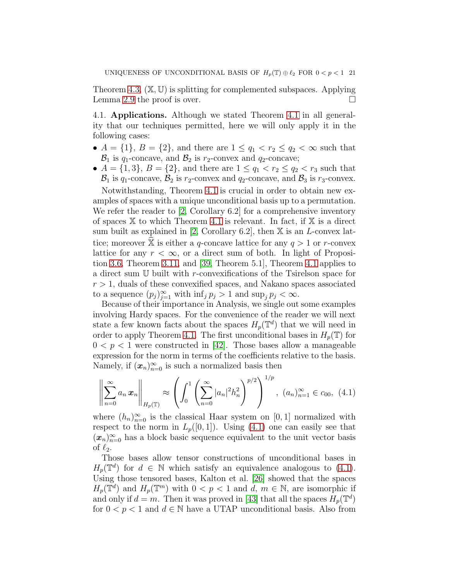Theorem [4.3,](#page-18-3)  $(\mathbb{X}, \mathbb{U})$  is splitting for complemented subspaces. Applying Lemma [2.9](#page-10-0) the proof is over.  $\Box$ 

4.1. Applications. Although we stated Theorem [4.1](#page-17-1) in all generality that our techniques permitted, here we will only apply it in the following cases:

- $A = \{1\}, B = \{2\},\$ and there are  $1 \leq q_1 < r_2 \leq q_2 < \infty$  such that  $\mathcal{B}_1$  is  $q_1$ -concave, and  $\mathcal{B}_2$  is  $r_2$ -convex and  $q_2$ -concave;
- $A = \{1, 3\}, B = \{2\},\$ and there are  $1 \le q_1 < r_2 \le q_2 < r_3$  such that  $\mathcal{B}_1$  is  $q_1$ -concave,  $\mathcal{B}_2$  is  $r_2$ -convex and  $q_2$ -concave, and  $\mathcal{B}_3$  is  $r_3$ -convex.

Notwithstanding, Theorem [4.1](#page-17-1) is crucial in order to obtain new examples of spaces with a unique unconditional basis up to a permutation. We refer the reader to [\[2,](#page-22-7) Corollary 6.2] for a comprehensive inventory of spaces  $X$  to which Theorem [4.1](#page-17-1) is relevant. In fact, if  $X$  is a direct sum built as explained in [\[2,](#page-22-7) Corollary 6.2], then  $X$  is an *L*-convex lattice; moreover  $\ddot{\mathbb{X}}$  is either a q-concave lattice for any  $q > 1$  or r-convex lattice for any  $r < \infty$ , or a direct sum of both. In light of Proposition [3.6,](#page-13-1) Theorem [3.11,](#page-16-1) and [\[39,](#page-23-20) Theorem 5.1], Theorem [4.1](#page-17-1) applies to a direct sum U built with r-convexifications of the Tsirelson space for  $r > 1$ , duals of these convexified spaces, and Nakano spaces associated to a sequence  $(p_j)_{j=1}^{\infty}$  with  $\inf_j p_j > 1$  and  $\sup_j p_j < \infty$ .

Because of their importance in Analysis, we single out some examples involving Hardy spaces. For the convenience of the reader we will next state a few known facts about the spaces  $H_p(\mathbb{T}^d)$  that we will need in order to apply Theorem [4.1.](#page-17-1) The first unconditional bases in  $H_p(\mathbb{T})$  for  $0 < p < 1$  were constructed in [\[42\]](#page-24-2). Those bases allow a manageable expression for the norm in terms of the coefficients relative to the basis. Namely, if  $(x_n)_{n=0}^{\infty}$  is such a normalized basis then

<span id="page-20-0"></span>
$$
\left\| \sum_{n=0}^{\infty} a_n \, x_n \right\|_{H_p(\mathbb{T})} \approx \left( \int_0^1 \left( \sum_{n=0}^{\infty} |a_n|^2 h_n^2 \right)^{p/2} \right)^{1/p}, \ (a_n)_{n=1}^{\infty} \in c_{00}, \ (4.1)
$$

where  $(h_n)_{n=0}^{\infty}$  is the classical Haar system on [0, 1] normalized with respect to the norm in  $L_p([0,1])$ . Using [\(4.1\)](#page-20-0) one can easily see that  $(x_n)_{n=0}^{\infty}$  has a block basic sequence equivalent to the unit vector basis of  $\ell_2$ .

Those bases allow tensor constructions of unconditional bases in  $H_p(\mathbb{T}^d)$  for  $d \in \mathbb{N}$  which satisfy an equivalence analogous to [\(4.1\)](#page-20-0). Using those tensored bases, Kalton et al. [\[26\]](#page-23-21) showed that the spaces  $H_p(\mathbb{T}^d)$  and  $H_p(\mathbb{T}^m)$  with  $0 < p < 1$  and  $d, m \in \mathbb{N}$ , are isomorphic if and only if  $d = m$ . Then it was proved in [\[43\]](#page-24-0) that all the spaces  $H_p(\mathbb{T}^d)$ for  $0 < p < 1$  and  $d \in \mathbb{N}$  have a UTAP unconditional basis. Also from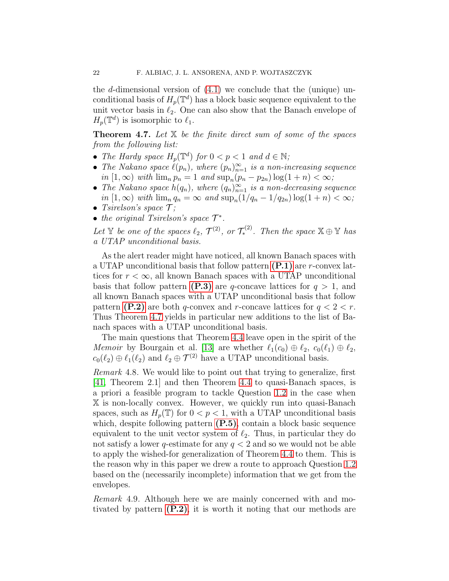the d-dimensional version of  $(4.1)$  we conclude that the (unique) unconditional basis of  $H_p(\mathbb{T}^d)$  has a block basic sequence equivalent to the unit vector basis in  $\ell_2$ . One can also show that the Banach envelope of  $H_p(\mathbb{T}^d)$  is isomorphic to  $\ell_1$ .

<span id="page-21-0"></span>Theorem 4.7. *Let* X *be the finite direct sum of some of the spaces from the following list:*

- *The Hardy space*  $H_p(\mathbb{T}^d)$  *for*  $0 < p < 1$  *and*  $d \in \mathbb{N}$ *;*
- The Nakano space  $\ell(p_n)$ , where  $(p_n)_{n=1}^{\infty}$  *is a non-increasing sequence*  $in [1, \infty)$  *with*  $\lim_{n} p_n = 1$  *and*  $\sup_{n} (p_n - p_{2n}) \log(1 + n) < \infty;$
- The Nakano space  $h(q_n)$ , where  $(q_n)_{n=1}^{\infty}$  *is a non-decreasing sequence*  $in [1, \infty)$  *with*  $\lim_{n} q_n = \infty$  *and*  $\sup_n (1/q_n - 1/q_{2n}) \log(1 + n) < \infty$ ;
- *Tsirelson's space*  $\mathcal{T}$ ;
- *the original Tsirelson's space*  $\mathcal{T}^*$ *.*

Let Y be one of the spaces  $\ell_2$ ,  $\mathcal{T}^{(2)}$ , or  $\mathcal{T}_{*}^{(2)}$ . Then the space  $\mathbb{X} \oplus \mathbb{Y}$  has *a UTAP unconditional basis.*

As the alert reader might have noticed, all known Banach spaces with a UTAP unconditional basis that follow pattern  $(P.1)$  are r-convex lattices for  $r < \infty$ , all known Banach spaces with a UTAP unconditional basis that follow pattern [\(P.3\)](#page-1-0) are q-concave lattices for  $q > 1$ , and all known Banach spaces with a UTAP unconditional basis that follow pattern [\(P.2\)](#page-1-3) are both q-convex and r-concave lattices for  $q < 2 < r$ . Thus Theorem [4.7](#page-21-0) yields in particular new additions to the list of Banach spaces with a UTAP unconditional basis.

The main questions that Theorem [4.4](#page-18-2) leave open in the spirit of the *Memoir* by Bourgain et al. [\[13\]](#page-22-1) are whether  $\ell_1(c_0) \oplus \ell_2$ ,  $c_0(\ell_1) \oplus \ell_2$ ,  $c_0(\ell_2) \oplus \ell_1(\ell_2)$  and  $\ell_2 \oplus \mathcal{T}^{(2)}$  have a UTAP unconditional basis.

*Remark* 4.8*.* We would like to point out that trying to generalize, first [\[41,](#page-24-1) Theorem 2.1] and then Theorem [4.4](#page-18-2) to quasi-Banach spaces, is a priori a feasible program to tackle Question [1.2](#page-2-2) in the case when X is non-locally convex. However, we quickly run into quasi-Banach spaces, such as  $H_p(\mathbb{T})$  for  $0 < p < 1$ , with a UTAP unconditional basis which, despite following pattern  $(P.5)$ , contain a block basic sequence equivalent to the unit vector system of  $\ell_2$ . Thus, in particular they do not satisfy a lower q-estimate for any  $q < 2$  and so we would not be able to apply the wished-for generalization of Theorem [4.4](#page-18-2) to them. This is the reason why in this paper we drew a route to approach Question [1.2](#page-2-2) based on the (necessarily incomplete) information that we get from the envelopes.

*Remark* 4.9*.* Although here we are mainly concerned with and motivated by pattern  $(P.2)$ , it is worth it noting that our methods are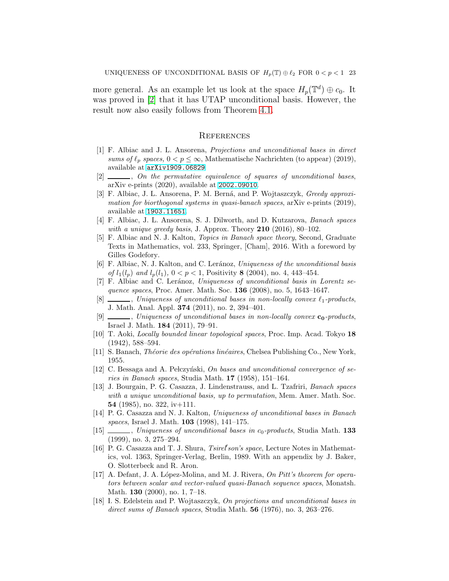more general. As an example let us look at the space  $H_p(\mathbb{T}^d) \oplus c_0$ . It was proved in [\[2\]](#page-22-7) that it has UTAP unconditional basis. However, the result now also easily follows from Theorem [4.1.](#page-17-1)

### **REFERENCES**

- <span id="page-22-4"></span>[1] F. Albiac and J. L. Ansorena, Projections and unconditional bases in direct sums of  $\ell_p$  spaces,  $0 < p \leq \infty$ , Mathematische Nachrichten (to appear) (2019), available at [arXiv1909.06829](arXiv 1909.06829).
- <span id="page-22-7"></span>[2] , On the permutative equivalence of squares of unconditional bases, arXiv e-prints (2020), available at <2002.09010>.
- <span id="page-22-10"></span>[3] F. Albiac, J. L. Ansorena, P. M. Berná, and P. Wojtaszczyk, *Greedy approxi*mation for biorthogonal systems in quasi-banach spaces, arXiv e-prints (2019), available at <1903.11651>.
- <span id="page-22-14"></span>[4] F. Albiac, J. L. Ansorena, S. J. Dilworth, and D. Kutzarova, Banach spaces with a unique greedy basis, J. Approx. Theory  $210$  (2016), 80-102.
- <span id="page-22-8"></span>[5] F. Albiac and N. J. Kalton, Topics in Banach space theory, Second, Graduate Texts in Mathematics, vol. 233, Springer, [Cham], 2016. With a foreword by Gilles Godefory.
- <span id="page-22-5"></span>[6] F. Albiac, N. J. Kalton, and C. Leránoz, Uniqueness of the unconditional basis of  $l_1(l_p)$  and  $l_p(l_1)$ ,  $0 < p < 1$ , Positivity 8 (2004), no. 4, 443-454.
- [7] F. Albiac and C. Leránoz, Uniqueness of unconditional basis in Lorentz sequence spaces, Proc. Amer. Math. Soc. **136** (2008), no. 5, 1643–1647.
- $[8]$  , Uniqueness of unconditional bases in non-locally convex  $\ell_1$ -products, J. Math. Anal. Appl. 374 (2011), no. 2, 394–401.
- <span id="page-22-6"></span>[9]  $\ldots$ , Uniqueness of unconditional bases in non-locally convex  $c_0$ -products, Israel J. Math. 184 (2011), 79–91.
- <span id="page-22-9"></span>[10] T. Aoki, Locally bounded linear topological spaces, Proc. Imp. Acad. Tokyo 18 (1942), 588–594.
- <span id="page-22-11"></span>[11] S. Banach, *Théorie des opérations linéaires*, Chelsea Publishing Co., New York, 1955.
- <span id="page-22-12"></span>[12] C. Bessaga and A. Pelczyński, On bases and unconditional convergence of series in Banach spaces, Studia Math. 17 (1958), 151–164.
- <span id="page-22-1"></span>[13] J. Bourgain, P. G. Casazza, J. Lindenstrauss, and L. Tzafriri, Banach spaces with a unique unconditional basis, up to permutation, Mem. Amer. Math. Soc. 54 (1985), no. 322, iv $+111$ .
- <span id="page-22-2"></span>[14] P. G. Casazza and N. J. Kalton, Uniqueness of unconditional bases in Banach spaces, Israel J. Math. 103 (1998), 141–175.
- <span id="page-22-3"></span> $[15]$  , Uniqueness of unconditional bases in  $c_0$ -products, Studia Math. 133 (1999), no. 3, 275–294.
- <span id="page-22-13"></span>[16] P. G. Casazza and T. J. Shura, Tsirel'son's space, Lecture Notes in Mathematics, vol. 1363, Springer-Verlag, Berlin, 1989. With an appendix by J. Baker, O. Slotterbeck and R. Aron.
- <span id="page-22-15"></span>[17] A. Defant, J. A. López-Molina, and M. J. Rivera, On Pitt's theorem for operators between scalar and vector-valued quasi-Banach sequence spaces, Monatsh. Math. 130 (2000), no. 1, 7–18.
- <span id="page-22-0"></span>[18] I. S. Edelstein and P. Wojtaszczyk, On projections and unconditional bases in direct sums of Banach spaces, Studia Math. 56 (1976), no. 3, 263–276.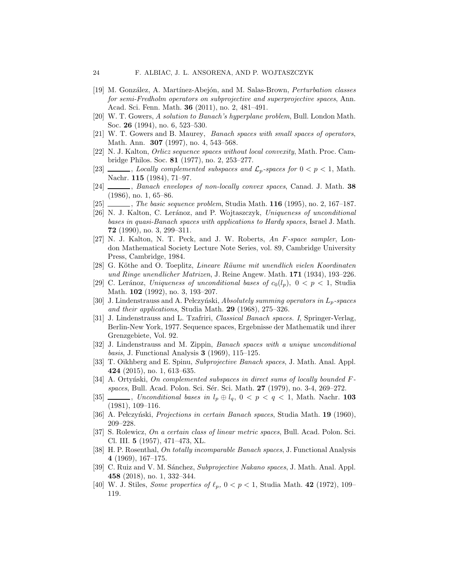- <span id="page-23-18"></span>[19] M. González, A. Martínez-Abejón, and M. Salas-Brown, *Perturbation classes* for semi-Fredholm operators on subprojective and superprojective spaces, Ann. Acad. Sci. Fenn. Math. 36 (2011), no. 2, 481–491.
- <span id="page-23-13"></span>[20] W. T. Gowers, A solution to Banach's hyperplane problem, Bull. London Math. Soc. 26 (1994), no. 6, 523-530.
- <span id="page-23-14"></span>[21] W. T. Gowers and B. Maurey, Banach spaces with small spaces of operators, Math. Ann. 307 (1997), no. 4, 543–568.
- <span id="page-23-3"></span>[22] N. J. Kalton, Orlicz sequence spaces without local convexity, Math. Proc. Cambridge Philos. Soc. 81 (1977), no. 2, 253–277.
- <span id="page-23-10"></span>[23]  $\_\_\_\_\_\$ , Locally complemented subspaces and  $\mathcal{L}_p$ -spaces for  $0 < p < 1$ , Math. Nachr. 115 (1984), 71–97.
- <span id="page-23-11"></span>[24]  $\_\_\_\_\_\$ n Banach envelopes of non-locally convex spaces, Canad. J. Math. 38 (1986), no. 1, 65–86.
- <span id="page-23-17"></span>[25]  $\_\_\_\_\_\_\_\_\_\.\$  The basic sequence problem, Studia Math. **116** (1995), no. 2, 167–187.
- <span id="page-23-21"></span>[26] N. J. Kalton, C. Leránoz, and P. Wojtaszczyk, Uniqueness of unconditional bases in quasi-Banach spaces with applications to Hardy spaces, Israel J. Math. 72 (1990), no. 3, 299–311.
- <span id="page-23-7"></span>[27] N. J. Kalton, N. T. Peck, and J. W. Roberts, An F-space sampler, London Mathematical Society Lecture Note Series, vol. 89, Cambridge University Press, Cambridge, 1984.
- <span id="page-23-0"></span>[28] G. Köthe and O. Toeplitz, Lineare Räume mit unendlich vielen Koordinaten und Ringe unendlicher Matrizen, J. Reine Angew. Math. 171 (1934), 193–226.
- <span id="page-23-4"></span>[29] C. Leránoz, Uniqueness of unconditional bases of  $c_0(l_p)$ ,  $0 < p < 1$ , Studia Math. **102** (1992), no. 3, 193-207.
- <span id="page-23-1"></span>[30] J. Lindenstrauss and A. Pelczyński, Absolutely summing operators in  $L_p$ -spaces and their applications, Studia Math. 29 (1968), 275–326.
- <span id="page-23-9"></span>[31] J. Lindenstrauss and L. Tzafriri, Classical Banach spaces. I, Springer-Verlag, Berlin-New York, 1977. Sequence spaces, Ergebnisse der Mathematik und ihrer Grenzgebiete, Vol. 92.
- <span id="page-23-2"></span>[32] J. Lindenstrauss and M. Zippin, Banach spaces with a unique unconditional basis, J. Functional Analysis 3 (1969), 115–125.
- <span id="page-23-15"></span>[33] T. Oikhberg and E. Spinu, Subprojective Banach spaces, J. Math. Anal. Appl. 424 (2015), no. 1, 613–635.
- <span id="page-23-6"></span>[34] A. Ortyński, On complemented subspaces in direct sums of locally bounded  $F$ spaces, Bull. Acad. Polon. Sci. Sér. Sci. Math. 27 (1979), no. 3-4, 269–272.
- <span id="page-23-5"></span>[35] , Unconditional bases in  $l_p \oplus l_q$ ,  $0 < p < q < 1$ , Math. Nachr. 103 (1981), 109–116.
- <span id="page-23-19"></span>[36] A. Pełczyński, Projections in certain Banach spaces, Studia Math. 19 (1960), 209–228.
- <span id="page-23-8"></span>[37] S. Rolewicz, On a certain class of linear metric spaces, Bull. Acad. Polon. Sci. Cl. III. 5 (1957), 471–473, XL.
- <span id="page-23-12"></span>[38] H. P. Rosenthal, On totally incomparable Banach spaces, J. Functional Analysis 4 (1969), 167–175.
- <span id="page-23-20"></span>[39] C. Ruiz and V. M. Sánchez, Subprojective Nakano spaces, J. Math. Anal. Appl. 458 (2018), no. 1, 332–344.
- <span id="page-23-16"></span>[40] W. J. Stiles, Some properties of  $\ell_p$ ,  $0 < p < 1$ , Studia Math. 42 (1972), 109– 119.